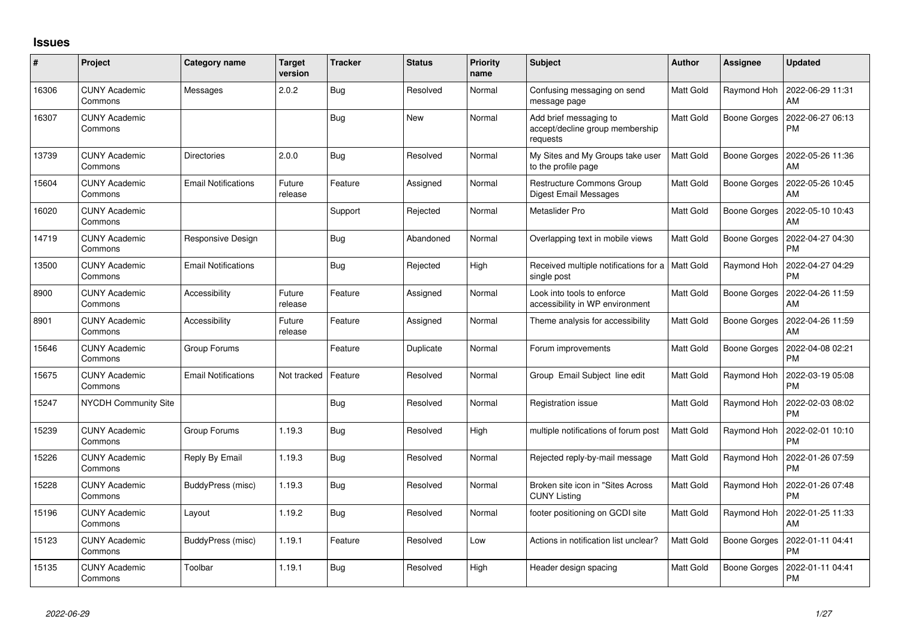## **Issues**

| #     | Project                         | Category name              | <b>Target</b><br>version | <b>Tracker</b> | <b>Status</b> | <b>Priority</b><br>name | <b>Subject</b>                                                        | Author           | Assignee            | <b>Updated</b>                |
|-------|---------------------------------|----------------------------|--------------------------|----------------|---------------|-------------------------|-----------------------------------------------------------------------|------------------|---------------------|-------------------------------|
| 16306 | <b>CUNY Academic</b><br>Commons | Messages                   | 2.0.2                    | Bug            | Resolved      | Normal                  | Confusing messaging on send<br>message page                           | <b>Matt Gold</b> | Raymond Hoh         | 2022-06-29 11:31<br>AM        |
| 16307 | <b>CUNY Academic</b><br>Commons |                            |                          | <b>Bug</b>     | <b>New</b>    | Normal                  | Add brief messaging to<br>accept/decline group membership<br>requests | Matt Gold        | Boone Gorges        | 2022-06-27 06:13<br><b>PM</b> |
| 13739 | <b>CUNY Academic</b><br>Commons | <b>Directories</b>         | 2.0.0                    | Bug            | Resolved      | Normal                  | My Sites and My Groups take user<br>to the profile page               | <b>Matt Gold</b> | <b>Boone Gorges</b> | 2022-05-26 11:36<br>AM        |
| 15604 | <b>CUNY Academic</b><br>Commons | <b>Email Notifications</b> | Future<br>release        | Feature        | Assigned      | Normal                  | Restructure Commons Group<br>Digest Email Messages                    | <b>Matt Gold</b> | <b>Boone Gorges</b> | 2022-05-26 10:45<br>AM        |
| 16020 | <b>CUNY Academic</b><br>Commons |                            |                          | Support        | Rejected      | Normal                  | Metaslider Pro                                                        | Matt Gold        | Boone Gorges        | 2022-05-10 10:43<br>AM        |
| 14719 | <b>CUNY Academic</b><br>Commons | Responsive Design          |                          | <b>Bug</b>     | Abandoned     | Normal                  | Overlapping text in mobile views                                      | Matt Gold        | Boone Gorges        | 2022-04-27 04:30<br><b>PM</b> |
| 13500 | <b>CUNY Academic</b><br>Commons | <b>Email Notifications</b> |                          | Bug            | Rejected      | High                    | Received multiple notifications for a   Matt Gold<br>single post      |                  | Raymond Hoh         | 2022-04-27 04:29<br><b>PM</b> |
| 8900  | <b>CUNY Academic</b><br>Commons | Accessibility              | Future<br>release        | Feature        | Assigned      | Normal                  | Look into tools to enforce<br>accessibility in WP environment         | Matt Gold        | Boone Gorges        | 2022-04-26 11:59<br>AM        |
| 8901  | <b>CUNY Academic</b><br>Commons | Accessibility              | Future<br>release        | Feature        | Assigned      | Normal                  | Theme analysis for accessibility                                      | <b>Matt Gold</b> | Boone Gorges        | 2022-04-26 11:59<br>AM        |
| 15646 | <b>CUNY Academic</b><br>Commons | Group Forums               |                          | Feature        | Duplicate     | Normal                  | Forum improvements                                                    | <b>Matt Gold</b> | <b>Boone Gorges</b> | 2022-04-08 02:21<br><b>PM</b> |
| 15675 | <b>CUNY Academic</b><br>Commons | <b>Email Notifications</b> | Not tracked              | Feature        | Resolved      | Normal                  | Group Email Subject line edit                                         | <b>Matt Gold</b> | Raymond Hoh         | 2022-03-19 05:08<br><b>PM</b> |
| 15247 | NYCDH Community Site            |                            |                          | Bug            | Resolved      | Normal                  | Registration issue                                                    | <b>Matt Gold</b> | Raymond Hoh         | 2022-02-03 08:02<br><b>PM</b> |
| 15239 | <b>CUNY Academic</b><br>Commons | Group Forums               | 1.19.3                   | Bug            | Resolved      | High                    | multiple notifications of forum post                                  | Matt Gold        | Raymond Hoh         | 2022-02-01 10:10<br><b>PM</b> |
| 15226 | <b>CUNY Academic</b><br>Commons | Reply By Email             | 1.19.3                   | Bug            | Resolved      | Normal                  | Rejected reply-by-mail message                                        | <b>Matt Gold</b> | Raymond Hoh         | 2022-01-26 07:59<br><b>PM</b> |
| 15228 | <b>CUNY Academic</b><br>Commons | BuddyPress (misc)          | 1.19.3                   | <b>Bug</b>     | Resolved      | Normal                  | Broken site icon in "Sites Across<br><b>CUNY Listing</b>              | Matt Gold        | Raymond Hoh         | 2022-01-26 07:48<br><b>PM</b> |
| 15196 | <b>CUNY Academic</b><br>Commons | Layout                     | 1.19.2                   | Bug            | Resolved      | Normal                  | footer positioning on GCDI site                                       | Matt Gold        | Raymond Hoh         | 2022-01-25 11:33<br>AM        |
| 15123 | <b>CUNY Academic</b><br>Commons | BuddyPress (misc)          | 1.19.1                   | Feature        | Resolved      | Low                     | Actions in notification list unclear?                                 | <b>Matt Gold</b> | <b>Boone Gorges</b> | 2022-01-11 04:41<br>PM        |
| 15135 | CUNY Academic<br>Commons        | Toolbar                    | 1.19.1                   | Bug            | Resolved      | High                    | Header design spacing                                                 | <b>Matt Gold</b> | <b>Boone Gorges</b> | 2022-01-11 04:41<br><b>PM</b> |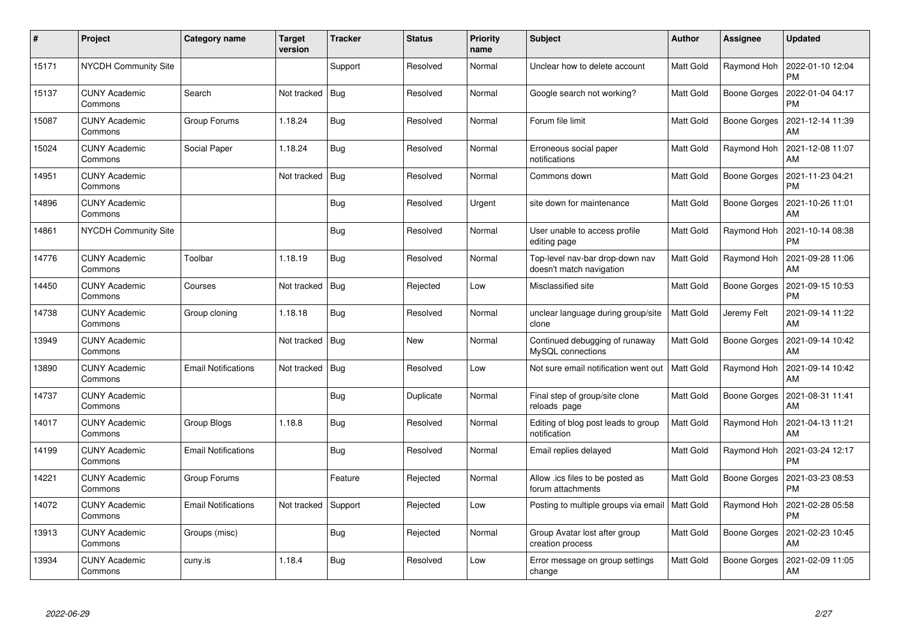| $\pmb{\sharp}$ | Project                         | <b>Category name</b>       | <b>Target</b><br>version | <b>Tracker</b> | <b>Status</b> | <b>Priority</b><br>name | <b>Subject</b>                                              | <b>Author</b>    | <b>Assignee</b>     | <b>Updated</b>                |
|----------------|---------------------------------|----------------------------|--------------------------|----------------|---------------|-------------------------|-------------------------------------------------------------|------------------|---------------------|-------------------------------|
| 15171          | <b>NYCDH Community Site</b>     |                            |                          | Support        | Resolved      | Normal                  | Unclear how to delete account                               | <b>Matt Gold</b> | Raymond Hoh         | 2022-01-10 12:04<br><b>PM</b> |
| 15137          | <b>CUNY Academic</b><br>Commons | Search                     | Not tracked              | <b>Bug</b>     | Resolved      | Normal                  | Google search not working?                                  | Matt Gold        | Boone Gorges        | 2022-01-04 04:17<br><b>PM</b> |
| 15087          | <b>CUNY Academic</b><br>Commons | Group Forums               | 1.18.24                  | <b>Bug</b>     | Resolved      | Normal                  | Forum file limit                                            | <b>Matt Gold</b> | <b>Boone Gorges</b> | 2021-12-14 11:39<br>AM        |
| 15024          | <b>CUNY Academic</b><br>Commons | Social Paper               | 1.18.24                  | Bug            | Resolved      | Normal                  | Erroneous social paper<br>notifications                     | Matt Gold        | Raymond Hoh         | 2021-12-08 11:07<br>AM        |
| 14951          | <b>CUNY Academic</b><br>Commons |                            | Not tracked              | Bug            | Resolved      | Normal                  | Commons down                                                | Matt Gold        | Boone Gorges        | 2021-11-23 04:21<br><b>PM</b> |
| 14896          | <b>CUNY Academic</b><br>Commons |                            |                          | Bug            | Resolved      | Urgent                  | site down for maintenance                                   | Matt Gold        | Boone Gorges        | 2021-10-26 11:01<br>AM        |
| 14861          | <b>NYCDH Community Site</b>     |                            |                          | Bug            | Resolved      | Normal                  | User unable to access profile<br>editing page               | Matt Gold        | Raymond Hoh         | 2021-10-14 08:38<br><b>PM</b> |
| 14776          | <b>CUNY Academic</b><br>Commons | Toolbar                    | 1.18.19                  | Bug            | Resolved      | Normal                  | Top-level nav-bar drop-down nav<br>doesn't match navigation | Matt Gold        | Raymond Hoh         | 2021-09-28 11:06<br>AM        |
| 14450          | <b>CUNY Academic</b><br>Commons | Courses                    | Not tracked              | <b>Bug</b>     | Rejected      | Low                     | Misclassified site                                          | Matt Gold        | Boone Gorges        | 2021-09-15 10:53<br><b>PM</b> |
| 14738          | <b>CUNY Academic</b><br>Commons | Group cloning              | 1.18.18                  | Bug            | Resolved      | Normal                  | unclear language during group/site<br>clone                 | <b>Matt Gold</b> | Jeremy Felt         | 2021-09-14 11:22<br>AM        |
| 13949          | <b>CUNY Academic</b><br>Commons |                            | Not tracked              | <b>Bug</b>     | <b>New</b>    | Normal                  | Continued debugging of runaway<br>MySQL connections         | Matt Gold        | Boone Gorges        | 2021-09-14 10:42<br>AM        |
| 13890          | <b>CUNY Academic</b><br>Commons | <b>Email Notifications</b> | Not tracked              | Bug            | Resolved      | Low                     | Not sure email notification went out                        | Matt Gold        | Raymond Hoh         | 2021-09-14 10:42<br>AM        |
| 14737          | <b>CUNY Academic</b><br>Commons |                            |                          | Bug            | Duplicate     | Normal                  | Final step of group/site clone<br>reloads page              | Matt Gold        | Boone Gorges        | 2021-08-31 11:41<br>AM        |
| 14017          | <b>CUNY Academic</b><br>Commons | <b>Group Blogs</b>         | 1.18.8                   | <b>Bug</b>     | Resolved      | Normal                  | Editing of blog post leads to group<br>notification         | Matt Gold        | Raymond Hoh         | 2021-04-13 11:21<br>AM        |
| 14199          | <b>CUNY Academic</b><br>Commons | Email Notifications        |                          | <b>Bug</b>     | Resolved      | Normal                  | Email replies delayed                                       | Matt Gold        | Raymond Hoh         | 2021-03-24 12:17<br><b>PM</b> |
| 14221          | <b>CUNY Academic</b><br>Commons | Group Forums               |                          | Feature        | Rejected      | Normal                  | Allow .ics files to be posted as<br>forum attachments       | Matt Gold        | Boone Gorges        | 2021-03-23 08:53<br><b>PM</b> |
| 14072          | <b>CUNY Academic</b><br>Commons | Email Notifications        | Not tracked              | Support        | Rejected      | Low                     | Posting to multiple groups via email   Matt Gold            |                  | Raymond Hoh         | 2021-02-28 05:58<br><b>PM</b> |
| 13913          | <b>CUNY Academic</b><br>Commons | Groups (misc)              |                          | Bug            | Rejected      | Normal                  | Group Avatar lost after group<br>creation process           | Matt Gold        | Boone Gorges        | 2021-02-23 10:45<br>AM        |
| 13934          | <b>CUNY Academic</b><br>Commons | cuny.is                    | 1.18.4                   | <b>Bug</b>     | Resolved      | Low                     | Error message on group settings<br>change                   | Matt Gold        | Boone Gorges        | 2021-02-09 11:05<br>AM        |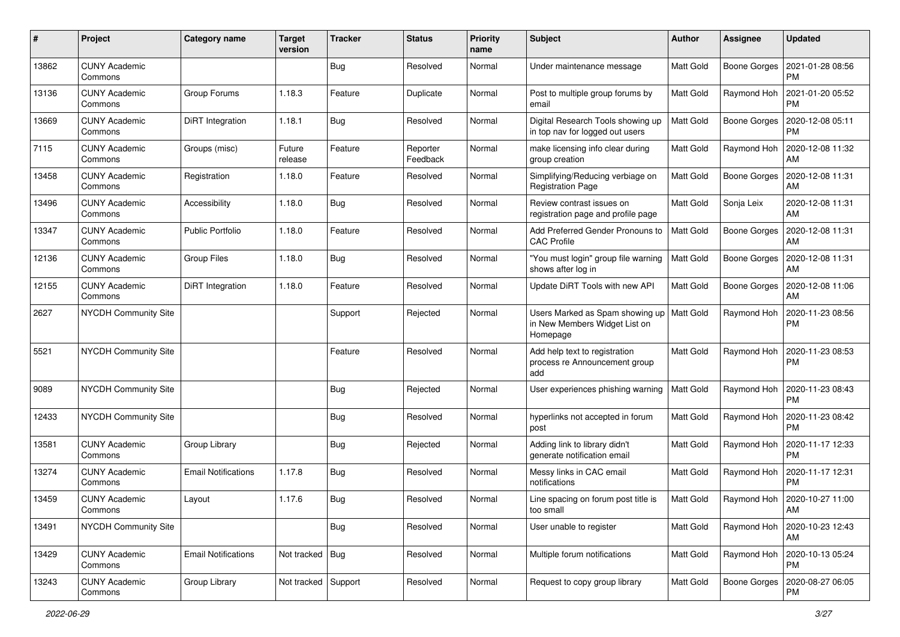| #     | Project                         | Category name              | <b>Target</b><br>version | <b>Tracker</b> | <b>Status</b>        | <b>Priority</b><br>name | <b>Subject</b>                                                               | Author           | Assignee            | <b>Updated</b>                |
|-------|---------------------------------|----------------------------|--------------------------|----------------|----------------------|-------------------------|------------------------------------------------------------------------------|------------------|---------------------|-------------------------------|
| 13862 | <b>CUNY Academic</b><br>Commons |                            |                          | Bug            | Resolved             | Normal                  | Under maintenance message                                                    | Matt Gold        | <b>Boone Gorges</b> | 2021-01-28 08:56<br><b>PM</b> |
| 13136 | <b>CUNY Academic</b><br>Commons | Group Forums               | 1.18.3                   | Feature        | Duplicate            | Normal                  | Post to multiple group forums by<br>email                                    | Matt Gold        | Raymond Hoh         | 2021-01-20 05:52<br><b>PM</b> |
| 13669 | CUNY Academic<br>Commons        | DiRT Integration           | 1.18.1                   | Bug            | Resolved             | Normal                  | Digital Research Tools showing up<br>in top nav for logged out users         | Matt Gold        | <b>Boone Gorges</b> | 2020-12-08 05:11<br><b>PM</b> |
| 7115  | <b>CUNY Academic</b><br>Commons | Groups (misc)              | Future<br>release        | Feature        | Reporter<br>Feedback | Normal                  | make licensing info clear during<br>group creation                           | Matt Gold        | Raymond Hoh         | 2020-12-08 11:32<br>AM        |
| 13458 | <b>CUNY Academic</b><br>Commons | Registration               | 1.18.0                   | Feature        | Resolved             | Normal                  | Simplifying/Reducing verbiage on<br><b>Registration Page</b>                 | <b>Matt Gold</b> | <b>Boone Gorges</b> | 2020-12-08 11:31<br>AM        |
| 13496 | <b>CUNY Academic</b><br>Commons | Accessibility              | 1.18.0                   | Bug            | Resolved             | Normal                  | Review contrast issues on<br>registration page and profile page              | Matt Gold        | Sonja Leix          | 2020-12-08 11:31<br>AM        |
| 13347 | <b>CUNY Academic</b><br>Commons | <b>Public Portfolio</b>    | 1.18.0                   | Feature        | Resolved             | Normal                  | Add Preferred Gender Pronouns to<br><b>CAC Profile</b>                       | Matt Gold        | <b>Boone Gorges</b> | 2020-12-08 11:31<br>AM        |
| 12136 | <b>CUNY Academic</b><br>Commons | <b>Group Files</b>         | 1.18.0                   | Bug            | Resolved             | Normal                  | "You must login" group file warning<br>shows after log in                    | Matt Gold        | Boone Gorges        | 2020-12-08 11:31<br>AM        |
| 12155 | <b>CUNY Academic</b><br>Commons | <b>DiRT</b> Integration    | 1.18.0                   | Feature        | Resolved             | Normal                  | Update DiRT Tools with new API                                               | Matt Gold        | Boone Gorges        | 2020-12-08 11:06<br>AM        |
| 2627  | <b>NYCDH Community Site</b>     |                            |                          | Support        | Rejected             | Normal                  | Users Marked as Spam showing up<br>in New Members Widget List on<br>Homepage | Matt Gold        | Raymond Hoh         | 2020-11-23 08:56<br><b>PM</b> |
| 5521  | <b>NYCDH Community Site</b>     |                            |                          | Feature        | Resolved             | Normal                  | Add help text to registration<br>process re Announcement group<br>add        | Matt Gold        | Raymond Hoh         | 2020-11-23 08:53<br><b>PM</b> |
| 9089  | <b>NYCDH Community Site</b>     |                            |                          | Bug            | Rejected             | Normal                  | User experiences phishing warning                                            | Matt Gold        | Raymond Hoh         | 2020-11-23 08:43<br><b>PM</b> |
| 12433 | <b>NYCDH Community Site</b>     |                            |                          | Bug            | Resolved             | Normal                  | hyperlinks not accepted in forum<br>post                                     | Matt Gold        | Raymond Hoh         | 2020-11-23 08:42<br><b>PM</b> |
| 13581 | <b>CUNY Academic</b><br>Commons | Group Library              |                          | <b>Bug</b>     | Rejected             | Normal                  | Adding link to library didn't<br>generate notification email                 | Matt Gold        | Raymond Hoh         | 2020-11-17 12:33<br><b>PM</b> |
| 13274 | <b>CUNY Academic</b><br>Commons | <b>Email Notifications</b> | 1.17.8                   | Bug            | Resolved             | Normal                  | Messy links in CAC email<br>notifications                                    | Matt Gold        | Raymond Hoh         | 2020-11-17 12:31<br><b>PM</b> |
| 13459 | <b>CUNY Academic</b><br>Commons | Layout                     | 1.17.6                   | <b>Bug</b>     | Resolved             | Normal                  | Line spacing on forum post title is<br>too small                             | Matt Gold        | Raymond Hoh         | 2020-10-27 11:00<br>AM        |
| 13491 | <b>NYCDH Community Site</b>     |                            |                          | <b>Bug</b>     | Resolved             | Normal                  | User unable to register                                                      | Matt Gold        | Raymond Hoh         | 2020-10-23 12:43<br>AM        |
| 13429 | <b>CUNY Academic</b><br>Commons | <b>Email Notifications</b> | Not tracked   Bug        |                | Resolved             | Normal                  | Multiple forum notifications                                                 | Matt Gold        | Raymond Hoh         | 2020-10-13 05:24<br><b>PM</b> |
| 13243 | <b>CUNY Academic</b><br>Commons | Group Library              | Not tracked Support      |                | Resolved             | Normal                  | Request to copy group library                                                | Matt Gold        | Boone Gorges        | 2020-08-27 06:05<br>PM        |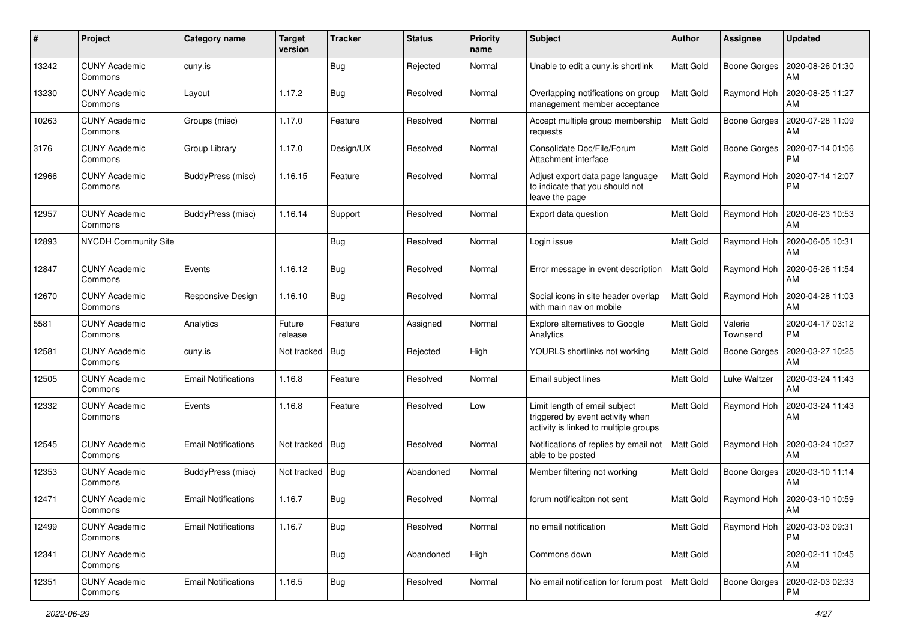| #     | Project                         | <b>Category name</b>       | <b>Target</b><br>version | <b>Tracker</b> | <b>Status</b> | <b>Priority</b><br>name | Subject                                                                                                    | <b>Author</b>    | <b>Assignee</b>     | <b>Updated</b>                |
|-------|---------------------------------|----------------------------|--------------------------|----------------|---------------|-------------------------|------------------------------------------------------------------------------------------------------------|------------------|---------------------|-------------------------------|
| 13242 | <b>CUNY Academic</b><br>Commons | cuny.is                    |                          | Bug            | Rejected      | Normal                  | Unable to edit a cuny is shortlink                                                                         | Matt Gold        | Boone Gorges        | 2020-08-26 01:30<br>AM        |
| 13230 | <b>CUNY Academic</b><br>Commons | Layout                     | 1.17.2                   | Bug            | Resolved      | Normal                  | Overlapping notifications on group<br>management member acceptance                                         | Matt Gold        | Raymond Hoh         | 2020-08-25 11:27<br>AM        |
| 10263 | <b>CUNY Academic</b><br>Commons | Groups (misc)              | 1.17.0                   | Feature        | Resolved      | Normal                  | Accept multiple group membership<br>requests                                                               | Matt Gold        | <b>Boone Gorges</b> | 2020-07-28 11:09<br>AM        |
| 3176  | <b>CUNY Academic</b><br>Commons | Group Library              | 1.17.0                   | Design/UX      | Resolved      | Normal                  | Consolidate Doc/File/Forum<br>Attachment interface                                                         | Matt Gold        | <b>Boone Gorges</b> | 2020-07-14 01:06<br><b>PM</b> |
| 12966 | <b>CUNY Academic</b><br>Commons | BuddyPress (misc)          | 1.16.15                  | Feature        | Resolved      | Normal                  | Adjust export data page language<br>to indicate that you should not<br>leave the page                      | Matt Gold        | Raymond Hoh         | 2020-07-14 12:07<br><b>PM</b> |
| 12957 | <b>CUNY Academic</b><br>Commons | BuddyPress (misc)          | 1.16.14                  | Support        | Resolved      | Normal                  | Export data question                                                                                       | Matt Gold        | Raymond Hoh         | 2020-06-23 10:53<br>AM        |
| 12893 | <b>NYCDH Community Site</b>     |                            |                          | Bug            | Resolved      | Normal                  | Login issue                                                                                                | Matt Gold        | Raymond Hoh         | 2020-06-05 10:31<br>AM        |
| 12847 | <b>CUNY Academic</b><br>Commons | Events                     | 1.16.12                  | Bug            | Resolved      | Normal                  | Error message in event description                                                                         | Matt Gold        | Raymond Hoh         | 2020-05-26 11:54<br>AM        |
| 12670 | <b>CUNY Academic</b><br>Commons | Responsive Design          | 1.16.10                  | <b>Bug</b>     | Resolved      | Normal                  | Social icons in site header overlap<br>with main nav on mobile                                             | Matt Gold        | Raymond Hoh         | 2020-04-28 11:03<br>AM        |
| 5581  | <b>CUNY Academic</b><br>Commons | Analytics                  | Future<br>release        | Feature        | Assigned      | Normal                  | Explore alternatives to Google<br>Analytics                                                                | Matt Gold        | Valerie<br>Townsend | 2020-04-17 03:12<br><b>PM</b> |
| 12581 | <b>CUNY Academic</b><br>Commons | cuny.is                    | Not tracked              | Bug            | Rejected      | High                    | YOURLS shortlinks not working                                                                              | Matt Gold        | <b>Boone Gorges</b> | 2020-03-27 10:25<br>AM        |
| 12505 | <b>CUNY Academic</b><br>Commons | <b>Email Notifications</b> | 1.16.8                   | Feature        | Resolved      | Normal                  | Email subject lines                                                                                        | Matt Gold        | Luke Waltzer        | 2020-03-24 11:43<br>AM        |
| 12332 | <b>CUNY Academic</b><br>Commons | Events                     | 1.16.8                   | Feature        | Resolved      | Low                     | Limit length of email subject<br>triggered by event activity when<br>activity is linked to multiple groups | Matt Gold        | Raymond Hoh         | 2020-03-24 11:43<br>AM        |
| 12545 | <b>CUNY Academic</b><br>Commons | <b>Email Notifications</b> | Not tracked              | Bug            | Resolved      | Normal                  | Notifications of replies by email not<br>able to be posted                                                 | <b>Matt Gold</b> | Raymond Hoh         | 2020-03-24 10:27<br>AM        |
| 12353 | <b>CUNY Academic</b><br>Commons | BuddyPress (misc)          | Not tracked              | Bug            | Abandoned     | Normal                  | Member filtering not working                                                                               | Matt Gold        | Boone Gorges        | 2020-03-10 11:14<br>AM        |
| 12471 | <b>CUNY Academic</b><br>Commons | <b>Email Notifications</b> | 1.16.7                   | Bug            | Resolved      | Normal                  | forum notificaiton not sent                                                                                | Matt Gold        | Raymond Hoh         | 2020-03-10 10:59<br>AM        |
| 12499 | <b>CUNY Academic</b><br>Commons | <b>Email Notifications</b> | 1.16.7                   | <b>Bug</b>     | Resolved      | Normal                  | no email notification                                                                                      | Matt Gold        | Raymond Hoh         | 2020-03-03 09:31<br><b>PM</b> |
| 12341 | <b>CUNY Academic</b><br>Commons |                            |                          | Bug            | Abandoned     | High                    | Commons down                                                                                               | Matt Gold        |                     | 2020-02-11 10:45<br>AM        |
| 12351 | <b>CUNY Academic</b><br>Commons | <b>Email Notifications</b> | 1.16.5                   | <b>Bug</b>     | Resolved      | Normal                  | No email notification for forum post                                                                       | Matt Gold        | <b>Boone Gorges</b> | 2020-02-03 02:33<br><b>PM</b> |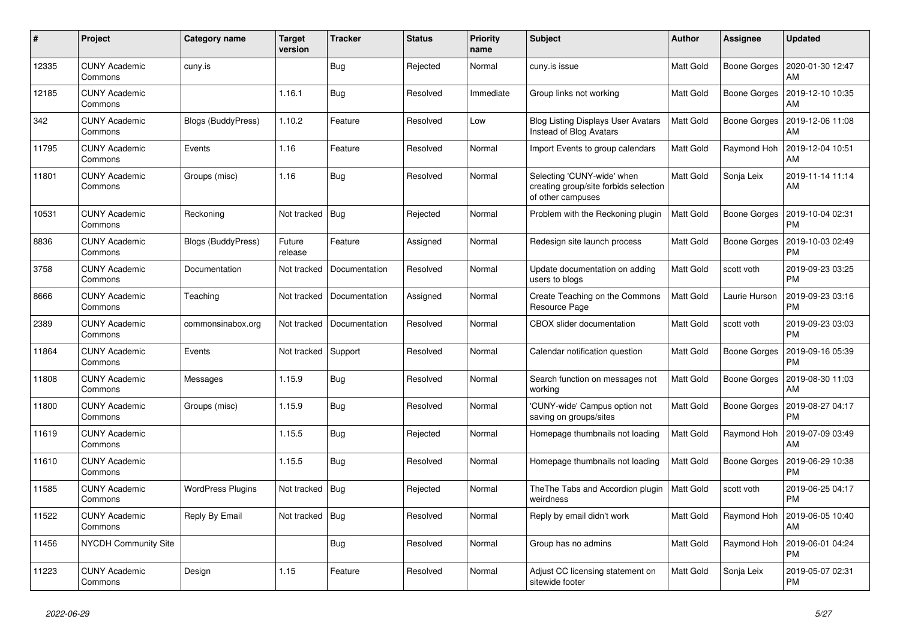| $\#$  | Project                         | Category name            | <b>Target</b><br>version | <b>Tracker</b> | <b>Status</b> | <b>Priority</b><br>name | <b>Subject</b>                                                                           | <b>Author</b>    | <b>Assignee</b> | <b>Updated</b>                |
|-------|---------------------------------|--------------------------|--------------------------|----------------|---------------|-------------------------|------------------------------------------------------------------------------------------|------------------|-----------------|-------------------------------|
| 12335 | <b>CUNY Academic</b><br>Commons | cuny.is                  |                          | <b>Bug</b>     | Rejected      | Normal                  | cuny.is issue                                                                            | Matt Gold        | Boone Gorges    | 2020-01-30 12:47<br>AM        |
| 12185 | <b>CUNY Academic</b><br>Commons |                          | 1.16.1                   | Bug            | Resolved      | Immediate               | Group links not working                                                                  | Matt Gold        | Boone Gorges    | 2019-12-10 10:35<br>AM        |
| 342   | <b>CUNY Academic</b><br>Commons | Blogs (BuddyPress)       | 1.10.2                   | Feature        | Resolved      | Low                     | <b>Blog Listing Displays User Avatars</b><br>Instead of Blog Avatars                     | Matt Gold        | Boone Gorges    | 2019-12-06 11:08<br>AM        |
| 11795 | <b>CUNY Academic</b><br>Commons | Events                   | 1.16                     | Feature        | Resolved      | Normal                  | Import Events to group calendars                                                         | Matt Gold        | Raymond Hoh     | 2019-12-04 10:51<br>AM        |
| 11801 | <b>CUNY Academic</b><br>Commons | Groups (misc)            | 1.16                     | <b>Bug</b>     | Resolved      | Normal                  | Selecting 'CUNY-wide' when<br>creating group/site forbids selection<br>of other campuses | Matt Gold        | Sonja Leix      | 2019-11-14 11:14<br>AM        |
| 10531 | <b>CUNY Academic</b><br>Commons | Reckoning                | Not tracked              | Bug            | Rejected      | Normal                  | Problem with the Reckoning plugin                                                        | <b>Matt Gold</b> | Boone Gorges    | 2019-10-04 02:31<br><b>PM</b> |
| 8836  | <b>CUNY Academic</b><br>Commons | Blogs (BuddyPress)       | Future<br>release        | Feature        | Assigned      | Normal                  | Redesign site launch process                                                             | Matt Gold        | Boone Gorges    | 2019-10-03 02:49<br><b>PM</b> |
| 3758  | <b>CUNY Academic</b><br>Commons | Documentation            | Not tracked              | Documentation  | Resolved      | Normal                  | Update documentation on adding<br>users to blogs                                         | <b>Matt Gold</b> | scott voth      | 2019-09-23 03:25<br><b>PM</b> |
| 8666  | <b>CUNY Academic</b><br>Commons | Teaching                 | Not tracked              | Documentation  | Assigned      | Normal                  | Create Teaching on the Commons<br>Resource Page                                          | Matt Gold        | Laurie Hurson   | 2019-09-23 03:16<br><b>PM</b> |
| 2389  | <b>CUNY Academic</b><br>Commons | commonsinabox.org        | Not tracked              | Documentation  | Resolved      | Normal                  | <b>CBOX</b> slider documentation                                                         | Matt Gold        | scott voth      | 2019-09-23 03:03<br><b>PM</b> |
| 11864 | <b>CUNY Academic</b><br>Commons | Events                   | Not tracked              | Support        | Resolved      | Normal                  | Calendar notification question                                                           | Matt Gold        | Boone Gorges    | 2019-09-16 05:39<br><b>PM</b> |
| 11808 | <b>CUNY Academic</b><br>Commons | Messages                 | 1.15.9                   | Bug            | Resolved      | Normal                  | Search function on messages not<br>working                                               | Matt Gold        | Boone Gorges    | 2019-08-30 11:03<br>AM        |
| 11800 | <b>CUNY Academic</b><br>Commons | Groups (misc)            | 1.15.9                   | <b>Bug</b>     | Resolved      | Normal                  | 'CUNY-wide' Campus option not<br>saving on groups/sites                                  | Matt Gold        | Boone Gorges    | 2019-08-27 04:17<br><b>PM</b> |
| 11619 | <b>CUNY Academic</b><br>Commons |                          | 1.15.5                   | <b>Bug</b>     | Rejected      | Normal                  | Homepage thumbnails not loading                                                          | Matt Gold        | Raymond Hoh     | 2019-07-09 03:49<br>AM        |
| 11610 | <b>CUNY Academic</b><br>Commons |                          | 1.15.5                   | <b>Bug</b>     | Resolved      | Normal                  | Homepage thumbnails not loading                                                          | <b>Matt Gold</b> | Boone Gorges    | 2019-06-29 10:38<br><b>PM</b> |
| 11585 | <b>CUNY Academic</b><br>Commons | <b>WordPress Plugins</b> | Not tracked              | <b>Bug</b>     | Rejected      | Normal                  | The The Tabs and Accordion plugin<br>weirdness                                           | <b>Matt Gold</b> | scott voth      | 2019-06-25 04:17<br><b>PM</b> |
| 11522 | <b>CUNY Academic</b><br>Commons | Reply By Email           | Not tracked              | <b>Bug</b>     | Resolved      | Normal                  | Reply by email didn't work                                                               | Matt Gold        | Raymond Hoh     | 2019-06-05 10:40<br>AM        |
| 11456 | <b>NYCDH Community Site</b>     |                          |                          | Bug            | Resolved      | Normal                  | Group has no admins                                                                      | Matt Gold        | Raymond Hoh     | 2019-06-01 04:24<br><b>PM</b> |
| 11223 | <b>CUNY Academic</b><br>Commons | Design                   | 1.15                     | Feature        | Resolved      | Normal                  | Adjust CC licensing statement on<br>sitewide footer                                      | Matt Gold        | Sonja Leix      | 2019-05-07 02:31<br><b>PM</b> |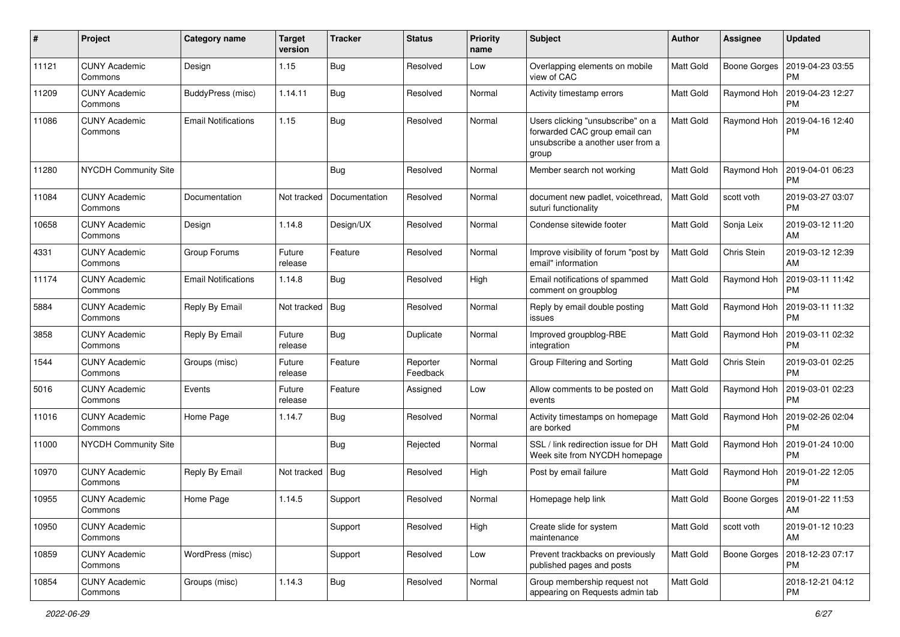| $\#$  | Project                         | Category name              | <b>Target</b><br>version | <b>Tracker</b> | <b>Status</b>        | <b>Priority</b><br>name | <b>Subject</b>                                                                                                   | Author           | Assignee     | <b>Updated</b>                |
|-------|---------------------------------|----------------------------|--------------------------|----------------|----------------------|-------------------------|------------------------------------------------------------------------------------------------------------------|------------------|--------------|-------------------------------|
| 11121 | <b>CUNY Academic</b><br>Commons | Design                     | 1.15                     | Bug            | Resolved             | Low                     | Overlapping elements on mobile<br>view of CAC                                                                    | Matt Gold        | Boone Gorges | 2019-04-23 03:55<br><b>PM</b> |
| 11209 | <b>CUNY Academic</b><br>Commons | BuddyPress (misc)          | 1.14.11                  | Bug            | Resolved             | Normal                  | Activity timestamp errors                                                                                        | Matt Gold        | Raymond Hoh  | 2019-04-23 12:27<br><b>PM</b> |
| 11086 | <b>CUNY Academic</b><br>Commons | <b>Email Notifications</b> | 1.15                     | Bug            | Resolved             | Normal                  | Users clicking "unsubscribe" on a<br>forwarded CAC group email can<br>unsubscribe a another user from a<br>group | Matt Gold        | Raymond Hoh  | 2019-04-16 12:40<br><b>PM</b> |
| 11280 | <b>NYCDH Community Site</b>     |                            |                          | Bug            | Resolved             | Normal                  | Member search not working                                                                                        | Matt Gold        | Raymond Hoh  | 2019-04-01 06:23<br><b>PM</b> |
| 11084 | <b>CUNY Academic</b><br>Commons | Documentation              | Not tracked              | Documentation  | Resolved             | Normal                  | document new padlet, voicethread,<br>suturi functionality                                                        | Matt Gold        | scott voth   | 2019-03-27 03:07<br><b>PM</b> |
| 10658 | <b>CUNY Academic</b><br>Commons | Design                     | 1.14.8                   | Design/UX      | Resolved             | Normal                  | Condense sitewide footer                                                                                         | Matt Gold        | Sonja Leix   | 2019-03-12 11:20<br>AM        |
| 4331  | <b>CUNY Academic</b><br>Commons | Group Forums               | Future<br>release        | Feature        | Resolved             | Normal                  | Improve visibility of forum "post by<br>email" information                                                       | <b>Matt Gold</b> | Chris Stein  | 2019-03-12 12:39<br>AM        |
| 11174 | <b>CUNY Academic</b><br>Commons | <b>Email Notifications</b> | 1.14.8                   | Bug            | Resolved             | High                    | Email notifications of spammed<br>comment on groupblog                                                           | Matt Gold        | Raymond Hoh  | 2019-03-11 11:42<br><b>PM</b> |
| 5884  | <b>CUNY Academic</b><br>Commons | Reply By Email             | Not tracked              | Bug            | Resolved             | Normal                  | Reply by email double posting<br>issues                                                                          | Matt Gold        | Raymond Hoh  | 2019-03-11 11:32<br><b>PM</b> |
| 3858  | <b>CUNY Academic</b><br>Commons | Reply By Email             | Future<br>release        | Bug            | Duplicate            | Normal                  | Improved groupblog-RBE<br>integration                                                                            | Matt Gold        | Raymond Hoh  | 2019-03-11 02:32<br><b>PM</b> |
| 1544  | <b>CUNY Academic</b><br>Commons | Groups (misc)              | Future<br>release        | Feature        | Reporter<br>Feedback | Normal                  | Group Filtering and Sorting                                                                                      | Matt Gold        | Chris Stein  | 2019-03-01 02:25<br><b>PM</b> |
| 5016  | <b>CUNY Academic</b><br>Commons | Events                     | Future<br>release        | Feature        | Assigned             | Low                     | Allow comments to be posted on<br>events                                                                         | Matt Gold        | Raymond Hoh  | 2019-03-01 02:23<br><b>PM</b> |
| 11016 | <b>CUNY Academic</b><br>Commons | Home Page                  | 1.14.7                   | Bug            | Resolved             | Normal                  | Activity timestamps on homepage<br>are borked                                                                    | Matt Gold        | Raymond Hoh  | 2019-02-26 02:04<br><b>PM</b> |
| 11000 | <b>NYCDH Community Site</b>     |                            |                          | <b>Bug</b>     | Rejected             | Normal                  | SSL / link redirection issue for DH<br>Week site from NYCDH homepage                                             | Matt Gold        | Raymond Hoh  | 2019-01-24 10:00<br><b>PM</b> |
| 10970 | <b>CUNY Academic</b><br>Commons | Reply By Email             | Not tracked              | <b>Bug</b>     | Resolved             | High                    | Post by email failure                                                                                            | Matt Gold        | Raymond Hoh  | 2019-01-22 12:05<br><b>PM</b> |
| 10955 | <b>CUNY Academic</b><br>Commons | Home Page                  | 1.14.5                   | Support        | Resolved             | Normal                  | Homepage help link                                                                                               | Matt Gold        | Boone Gorges | 2019-01-22 11:53<br>AM        |
| 10950 | <b>CUNY Academic</b><br>Commons |                            |                          | Support        | Resolved             | High                    | Create slide for system<br>maintenance                                                                           | Matt Gold        | scott voth   | 2019-01-12 10:23<br>AM        |
| 10859 | <b>CUNY Academic</b><br>Commons | WordPress (misc)           |                          | Support        | Resolved             | Low                     | Prevent trackbacks on previously<br>published pages and posts                                                    | Matt Gold        | Boone Gorges | 2018-12-23 07:17<br><b>PM</b> |
| 10854 | <b>CUNY Academic</b><br>Commons | Groups (misc)              | 1.14.3                   | <b>Bug</b>     | Resolved             | Normal                  | Group membership request not<br>appearing on Requests admin tab                                                  | Matt Gold        |              | 2018-12-21 04:12<br><b>PM</b> |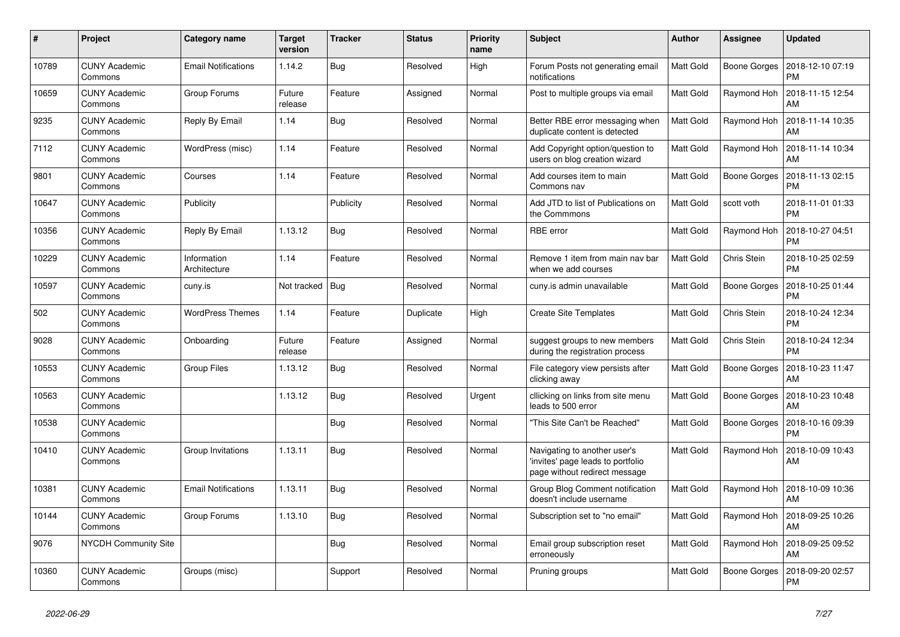| #     | Project                         | Category name               | <b>Target</b><br>version | <b>Tracker</b> | <b>Status</b> | <b>Priority</b><br>name | <b>Subject</b>                                                                                     | Author    | Assignee            | <b>Updated</b>                |
|-------|---------------------------------|-----------------------------|--------------------------|----------------|---------------|-------------------------|----------------------------------------------------------------------------------------------------|-----------|---------------------|-------------------------------|
| 10789 | <b>CUNY Academic</b><br>Commons | <b>Email Notifications</b>  | 1.14.2                   | Bug            | Resolved      | High                    | Forum Posts not generating email<br>notifications                                                  | Matt Gold | Boone Gorges        | 2018-12-10 07:19<br><b>PM</b> |
| 10659 | <b>CUNY Academic</b><br>Commons | Group Forums                | Future<br>release        | Feature        | Assigned      | Normal                  | Post to multiple groups via email                                                                  | Matt Gold | Raymond Hoh         | 2018-11-15 12:54<br>AM        |
| 9235  | <b>CUNY Academic</b><br>Commons | Reply By Email              | 1.14                     | Bug            | Resolved      | Normal                  | Better RBE error messaging when<br>duplicate content is detected                                   | Matt Gold | Raymond Hoh         | 2018-11-14 10:35<br>AM        |
| 7112  | <b>CUNY Academic</b><br>Commons | WordPress (misc)            | 1.14                     | Feature        | Resolved      | Normal                  | Add Copyright option/question to<br>users on blog creation wizard                                  | Matt Gold | Raymond Hoh         | 2018-11-14 10:34<br>AM        |
| 9801  | <b>CUNY Academic</b><br>Commons | Courses                     | 1.14                     | Feature        | Resolved      | Normal                  | Add courses item to main<br>Commons nav                                                            | Matt Gold | <b>Boone Gorges</b> | 2018-11-13 02:15<br><b>PM</b> |
| 10647 | <b>CUNY Academic</b><br>Commons | Publicity                   |                          | Publicity      | Resolved      | Normal                  | Add JTD to list of Publications on<br>the Commmons                                                 | Matt Gold | scott voth          | 2018-11-01 01:33<br><b>PM</b> |
| 10356 | <b>CUNY Academic</b><br>Commons | Reply By Email              | 1.13.12                  | Bug            | Resolved      | Normal                  | <b>RBE</b> error                                                                                   | Matt Gold | Raymond Hoh         | 2018-10-27 04:51<br><b>PM</b> |
| 10229 | <b>CUNY Academic</b><br>Commons | Information<br>Architecture | 1.14                     | Feature        | Resolved      | Normal                  | Remove 1 item from main nav bar<br>when we add courses                                             | Matt Gold | Chris Stein         | 2018-10-25 02:59<br><b>PM</b> |
| 10597 | <b>CUNY Academic</b><br>Commons | cuny.is                     | Not tracked              | <b>Bug</b>     | Resolved      | Normal                  | cuny.is admin unavailable                                                                          | Matt Gold | <b>Boone Gorges</b> | 2018-10-25 01:44<br><b>PM</b> |
| 502   | <b>CUNY Academic</b><br>Commons | <b>WordPress Themes</b>     | 1.14                     | Feature        | Duplicate     | High                    | <b>Create Site Templates</b>                                                                       | Matt Gold | Chris Stein         | 2018-10-24 12:34<br><b>PM</b> |
| 9028  | <b>CUNY Academic</b><br>Commons | Onboarding                  | Future<br>release        | Feature        | Assigned      | Normal                  | suggest groups to new members<br>during the registration process                                   | Matt Gold | Chris Stein         | 2018-10-24 12:34<br><b>PM</b> |
| 10553 | <b>CUNY Academic</b><br>Commons | <b>Group Files</b>          | 1.13.12                  | Bug            | Resolved      | Normal                  | File category view persists after<br>clicking away                                                 | Matt Gold | <b>Boone Gorges</b> | 2018-10-23 11:47<br>AM        |
| 10563 | <b>CUNY Academic</b><br>Commons |                             | 1.13.12                  | <b>Bug</b>     | Resolved      | Urgent                  | cllicking on links from site menu<br>leads to 500 error                                            | Matt Gold | Boone Gorges        | 2018-10-23 10:48<br>AM        |
| 10538 | <b>CUNY Academic</b><br>Commons |                             |                          | Bug            | Resolved      | Normal                  | "This Site Can't be Reached"                                                                       | Matt Gold | Boone Gorges        | 2018-10-16 09:39<br><b>PM</b> |
| 10410 | <b>CUNY Academic</b><br>Commons | Group Invitations           | 1.13.11                  | <b>Bug</b>     | Resolved      | Normal                  | Navigating to another user's<br>'invites' page leads to portfolio<br>page without redirect message | Matt Gold | Raymond Hoh         | 2018-10-09 10:43<br>AM        |
| 10381 | <b>CUNY Academic</b><br>Commons | <b>Email Notifications</b>  | 1.13.11                  | Bug            | Resolved      | Normal                  | Group Blog Comment notification<br>doesn't include username                                        | Matt Gold | Raymond Hoh         | 2018-10-09 10:36<br>AM        |
| 10144 | <b>CUNY Academic</b><br>Commons | Group Forums                | 1.13.10                  | <b>Bug</b>     | Resolved      | Normal                  | Subscription set to "no email"                                                                     | Matt Gold | Raymond Hoh         | 2018-09-25 10:26<br>AM        |
| 9076  | <b>NYCDH Community Site</b>     |                             |                          | Bug            | Resolved      | Normal                  | Email group subscription reset<br>erroneously                                                      | Matt Gold | Raymond Hoh         | 2018-09-25 09:52<br>AM        |
| 10360 | <b>CUNY Academic</b><br>Commons | Groups (misc)               |                          | Support        | Resolved      | Normal                  | Pruning groups                                                                                     | Matt Gold | Boone Gorges        | 2018-09-20 02:57<br><b>PM</b> |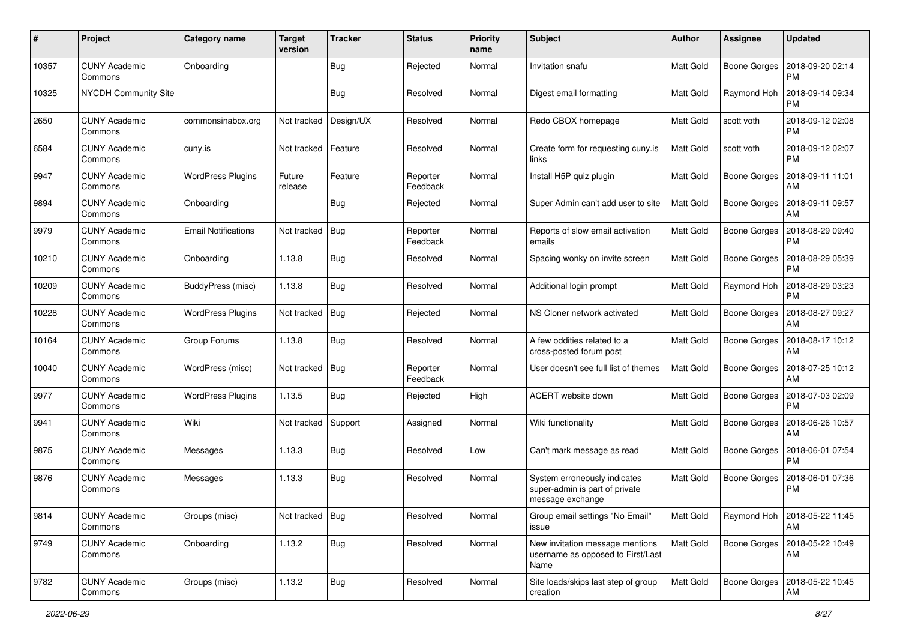| #     | Project                         | <b>Category name</b>       | <b>Target</b><br>version | <b>Tracker</b> | <b>Status</b>        | <b>Priority</b><br>name | Subject                                                                            | Author           | Assignee            | <b>Updated</b>                       |
|-------|---------------------------------|----------------------------|--------------------------|----------------|----------------------|-------------------------|------------------------------------------------------------------------------------|------------------|---------------------|--------------------------------------|
| 10357 | <b>CUNY Academic</b><br>Commons | Onboarding                 |                          | Bug            | Rejected             | Normal                  | Invitation snafu                                                                   | Matt Gold        | <b>Boone Gorges</b> | 2018-09-20 02:14<br><b>PM</b>        |
| 10325 | NYCDH Community Site            |                            |                          | Bug            | Resolved             | Normal                  | Digest email formatting                                                            | Matt Gold        | Raymond Hoh         | 2018-09-14 09:34<br><b>PM</b>        |
| 2650  | <b>CUNY Academic</b><br>Commons | commonsinabox.org          | Not tracked              | Design/UX      | Resolved             | Normal                  | Redo CBOX homepage                                                                 | Matt Gold        | scott voth          | 2018-09-12 02:08<br><b>PM</b>        |
| 6584  | <b>CUNY Academic</b><br>Commons | cuny.is                    | Not tracked              | Feature        | Resolved             | Normal                  | Create form for requesting cuny.is<br>links                                        | Matt Gold        | scott voth          | 2018-09-12 02:07<br><b>PM</b>        |
| 9947  | <b>CUNY Academic</b><br>Commons | <b>WordPress Plugins</b>   | Future<br>release        | Feature        | Reporter<br>Feedback | Normal                  | Install H5P quiz plugin                                                            | Matt Gold        | Boone Gorges        | 2018-09-11 11:01<br>AM               |
| 9894  | <b>CUNY Academic</b><br>Commons | Onboarding                 |                          | Bug            | Rejected             | Normal                  | Super Admin can't add user to site                                                 | Matt Gold        | Boone Gorges        | 2018-09-11 09:57<br>AM               |
| 9979  | <b>CUNY Academic</b><br>Commons | <b>Email Notifications</b> | Not tracked              | Bug            | Reporter<br>Feedback | Normal                  | Reports of slow email activation<br>emails                                         | Matt Gold        | Boone Gorges        | 2018-08-29 09:40<br><b>PM</b>        |
| 10210 | <b>CUNY Academic</b><br>Commons | Onboarding                 | 1.13.8                   | Bug            | Resolved             | Normal                  | Spacing wonky on invite screen                                                     | Matt Gold        | Boone Gorges        | 2018-08-29 05:39<br>РM               |
| 10209 | <b>CUNY Academic</b><br>Commons | BuddyPress (misc)          | 1.13.8                   | Bug            | Resolved             | Normal                  | Additional login prompt                                                            | Matt Gold        | Raymond Hoh         | 2018-08-29 03:23<br><b>PM</b>        |
| 10228 | <b>CUNY Academic</b><br>Commons | <b>WordPress Plugins</b>   | Not tracked              | <b>Bug</b>     | Rejected             | Normal                  | NS Cloner network activated                                                        | Matt Gold        | <b>Boone Gorges</b> | 2018-08-27 09:27<br>AM               |
| 10164 | <b>CUNY Academic</b><br>Commons | Group Forums               | 1.13.8                   | Bug            | Resolved             | Normal                  | A few oddities related to a<br>cross-posted forum post                             | <b>Matt Gold</b> | <b>Boone Gorges</b> | 2018-08-17 10:12<br>AM               |
| 10040 | <b>CUNY Academic</b><br>Commons | WordPress (misc)           | Not tracked              | <b>Bug</b>     | Reporter<br>Feedback | Normal                  | User doesn't see full list of themes                                               | Matt Gold        | Boone Gorges        | 2018-07-25 10:12<br>AM               |
| 9977  | <b>CUNY Academic</b><br>Commons | <b>WordPress Plugins</b>   | 1.13.5                   | Bug            | Rejected             | High                    | ACERT website down                                                                 | Matt Gold        | <b>Boone Gorges</b> | 2018-07-03 02:09<br><b>PM</b>        |
| 9941  | <b>CUNY Academic</b><br>Commons | Wiki                       | Not tracked              | Support        | Assigned             | Normal                  | Wiki functionality                                                                 | Matt Gold        | Boone Gorges        | 2018-06-26 10:57<br>AM               |
| 9875  | <b>CUNY Academic</b><br>Commons | Messages                   | 1.13.3                   | <b>Bug</b>     | Resolved             | Low                     | Can't mark message as read                                                         | Matt Gold        | Boone Gorges        | 2018-06-01 07:54<br><b>PM</b>        |
| 9876  | <b>CUNY Academic</b><br>Commons | Messages                   | 1.13.3                   | Bug            | Resolved             | Normal                  | System erroneously indicates<br>super-admin is part of private<br>message exchange | Matt Gold        | Boone Gorges        | 2018-06-01 07:36<br><b>PM</b>        |
| 9814  | <b>CUNY Academic</b><br>Commons | Groups (misc)              | Not tracked   Bug        |                | Resolved             | Normal                  | Group email settings "No Email"<br>issue                                           | <b>Matt Gold</b> |                     | Raymond Hoh   2018-05-22 11:45<br>AM |
| 9749  | <b>CUNY Academic</b><br>Commons | Onboarding                 | 1.13.2                   | <b>Bug</b>     | Resolved             | Normal                  | New invitation message mentions<br>username as opposed to First/Last<br>Name       | Matt Gold        | <b>Boone Gorges</b> | 2018-05-22 10:49<br>AM               |
| 9782  | <b>CUNY Academic</b><br>Commons | Groups (misc)              | 1.13.2                   | <b>Bug</b>     | Resolved             | Normal                  | Site loads/skips last step of group<br>creation                                    | Matt Gold        | Boone Gorges        | 2018-05-22 10:45<br>AM               |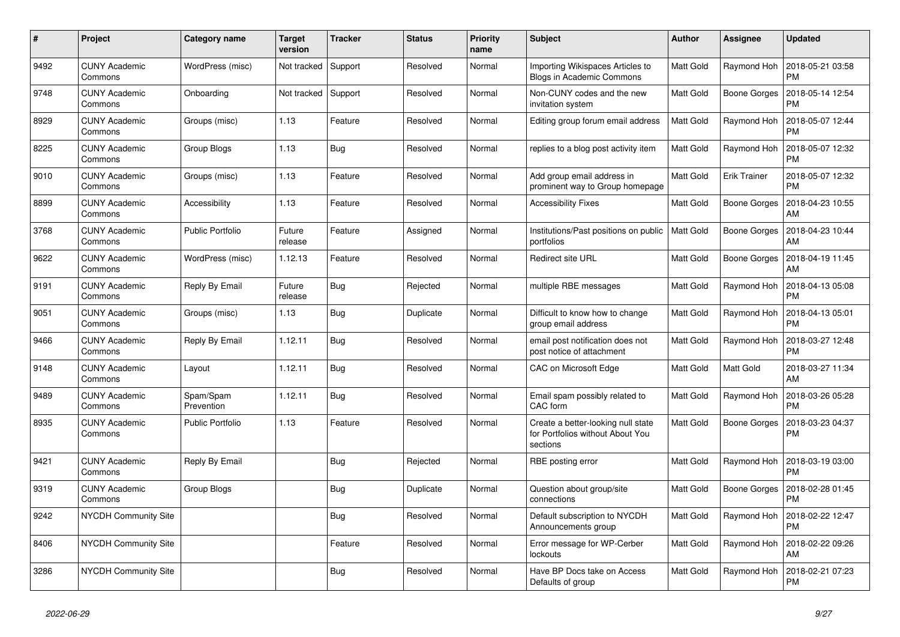| $\#$ | Project                         | Category name           | <b>Target</b><br>version | <b>Tracker</b> | <b>Status</b> | <b>Priority</b><br>name | <b>Subject</b>                                                                     | Author    | Assignee            | <b>Updated</b>                |
|------|---------------------------------|-------------------------|--------------------------|----------------|---------------|-------------------------|------------------------------------------------------------------------------------|-----------|---------------------|-------------------------------|
| 9492 | <b>CUNY Academic</b><br>Commons | WordPress (misc)        | Not tracked              | Support        | Resolved      | Normal                  | Importing Wikispaces Articles to<br>Blogs in Academic Commons                      | Matt Gold | Raymond Hoh         | 2018-05-21 03:58<br><b>PM</b> |
| 9748 | <b>CUNY Academic</b><br>Commons | Onboarding              | Not tracked              | Support        | Resolved      | Normal                  | Non-CUNY codes and the new<br>invitation system                                    | Matt Gold | Boone Gorges        | 2018-05-14 12:54<br><b>PM</b> |
| 8929 | <b>CUNY Academic</b><br>Commons | Groups (misc)           | 1.13                     | Feature        | Resolved      | Normal                  | Editing group forum email address                                                  | Matt Gold | Raymond Hoh         | 2018-05-07 12:44<br><b>PM</b> |
| 8225 | <b>CUNY Academic</b><br>Commons | Group Blogs             | 1.13                     | Bug            | Resolved      | Normal                  | replies to a blog post activity item                                               | Matt Gold | Raymond Hoh         | 2018-05-07 12:32<br><b>PM</b> |
| 9010 | <b>CUNY Academic</b><br>Commons | Groups (misc)           | 1.13                     | Feature        | Resolved      | Normal                  | Add group email address in<br>prominent way to Group homepage                      | Matt Gold | <b>Erik Trainer</b> | 2018-05-07 12:32<br><b>PM</b> |
| 8899 | <b>CUNY Academic</b><br>Commons | Accessibility           | 1.13                     | Feature        | Resolved      | Normal                  | <b>Accessibility Fixes</b>                                                         | Matt Gold | Boone Gorges        | 2018-04-23 10:55<br>AM        |
| 3768 | <b>CUNY Academic</b><br>Commons | <b>Public Portfolio</b> | Future<br>release        | Feature        | Assigned      | Normal                  | Institutions/Past positions on public<br>portfolios                                | Matt Gold | Boone Gorges        | 2018-04-23 10:44<br>AM        |
| 9622 | <b>CUNY Academic</b><br>Commons | WordPress (misc)        | 1.12.13                  | Feature        | Resolved      | Normal                  | <b>Redirect site URL</b>                                                           | Matt Gold | Boone Gorges        | 2018-04-19 11:45<br>AM        |
| 9191 | <b>CUNY Academic</b><br>Commons | Reply By Email          | Future<br>release        | Bug            | Rejected      | Normal                  | multiple RBE messages                                                              | Matt Gold | Raymond Hoh         | 2018-04-13 05:08<br><b>PM</b> |
| 9051 | <b>CUNY Academic</b><br>Commons | Groups (misc)           | 1.13                     | Bug            | Duplicate     | Normal                  | Difficult to know how to change<br>group email address                             | Matt Gold | Raymond Hoh         | 2018-04-13 05:01<br><b>PM</b> |
| 9466 | <b>CUNY Academic</b><br>Commons | Reply By Email          | 1.12.11                  | Bug            | Resolved      | Normal                  | email post notification does not<br>post notice of attachment                      | Matt Gold | Raymond Hoh         | 2018-03-27 12:48<br><b>PM</b> |
| 9148 | <b>CUNY Academic</b><br>Commons | Layout                  | 1.12.11                  | Bug            | Resolved      | Normal                  | <b>CAC on Microsoft Edge</b>                                                       | Matt Gold | Matt Gold           | 2018-03-27 11:34<br>AM        |
| 9489 | <b>CUNY Academic</b><br>Commons | Spam/Spam<br>Prevention | 1.12.11                  | <b>Bug</b>     | Resolved      | Normal                  | Email spam possibly related to<br>CAC form                                         | Matt Gold | Raymond Hoh         | 2018-03-26 05:28<br><b>PM</b> |
| 8935 | <b>CUNY Academic</b><br>Commons | Public Portfolio        | 1.13                     | Feature        | Resolved      | Normal                  | Create a better-looking null state<br>for Portfolios without About You<br>sections | Matt Gold | Boone Gorges        | 2018-03-23 04:37<br><b>PM</b> |
| 9421 | <b>CUNY Academic</b><br>Commons | Reply By Email          |                          | <b>Bug</b>     | Rejected      | Normal                  | RBE posting error                                                                  | Matt Gold | Raymond Hoh         | 2018-03-19 03:00<br><b>PM</b> |
| 9319 | <b>CUNY Academic</b><br>Commons | Group Blogs             |                          | <b>Bug</b>     | Duplicate     | Normal                  | Question about group/site<br>connections                                           | Matt Gold | <b>Boone Gorges</b> | 2018-02-28 01:45<br><b>PM</b> |
| 9242 | <b>NYCDH Community Site</b>     |                         |                          | Bug            | Resolved      | Normal                  | Default subscription to NYCDH<br>Announcements group                               | Matt Gold | Raymond Hoh         | 2018-02-22 12:47<br><b>PM</b> |
| 8406 | <b>NYCDH Community Site</b>     |                         |                          | Feature        | Resolved      | Normal                  | Error message for WP-Cerber<br>lockouts                                            | Matt Gold | Raymond Hoh         | 2018-02-22 09:26<br>AM        |
| 3286 | <b>NYCDH Community Site</b>     |                         |                          | <b>Bug</b>     | Resolved      | Normal                  | Have BP Docs take on Access<br>Defaults of group                                   | Matt Gold | Raymond Hoh         | 2018-02-21 07:23<br><b>PM</b> |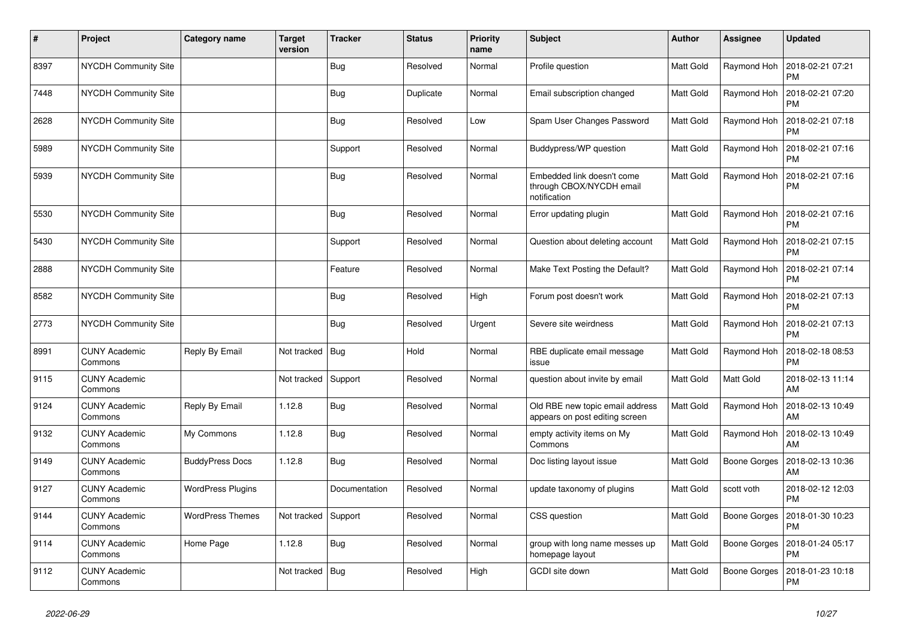| #    | Project                         | Category name            | <b>Target</b><br>version | <b>Tracker</b> | <b>Status</b> | <b>Priority</b><br>name | <b>Subject</b>                                                         | Author           | <b>Assignee</b>     | <b>Updated</b>                |
|------|---------------------------------|--------------------------|--------------------------|----------------|---------------|-------------------------|------------------------------------------------------------------------|------------------|---------------------|-------------------------------|
| 8397 | NYCDH Community Site            |                          |                          | <b>Bug</b>     | Resolved      | Normal                  | Profile question                                                       | Matt Gold        | Raymond Hoh         | 2018-02-21 07:21<br><b>PM</b> |
| 7448 | NYCDH Community Site            |                          |                          | <b>Bug</b>     | Duplicate     | Normal                  | Email subscription changed                                             | Matt Gold        | Raymond Hoh         | 2018-02-21 07:20<br><b>PM</b> |
| 2628 | <b>NYCDH Community Site</b>     |                          |                          | Bug            | Resolved      | Low                     | Spam User Changes Password                                             | Matt Gold        | Raymond Hoh         | 2018-02-21 07:18<br><b>PM</b> |
| 5989 | NYCDH Community Site            |                          |                          | Support        | Resolved      | Normal                  | Buddypress/WP question                                                 | Matt Gold        | Raymond Hoh         | 2018-02-21 07:16<br><b>PM</b> |
| 5939 | <b>NYCDH Community Site</b>     |                          |                          | <b>Bug</b>     | Resolved      | Normal                  | Embedded link doesn't come<br>through CBOX/NYCDH email<br>notification | Matt Gold        | Raymond Hoh         | 2018-02-21 07:16<br>РM        |
| 5530 | <b>NYCDH Community Site</b>     |                          |                          | Bug            | Resolved      | Normal                  | Error updating plugin                                                  | Matt Gold        | Raymond Hoh         | 2018-02-21 07:16<br>PM        |
| 5430 | NYCDH Community Site            |                          |                          | Support        | Resolved      | Normal                  | Question about deleting account                                        | <b>Matt Gold</b> | Raymond Hoh         | 2018-02-21 07:15<br>PM        |
| 2888 | NYCDH Community Site            |                          |                          | Feature        | Resolved      | Normal                  | Make Text Posting the Default?                                         | Matt Gold        | Raymond Hoh         | 2018-02-21 07:14<br><b>PM</b> |
| 8582 | <b>NYCDH Community Site</b>     |                          |                          | <b>Bug</b>     | Resolved      | High                    | Forum post doesn't work                                                | Matt Gold        | Raymond Hoh         | 2018-02-21 07:13<br><b>PM</b> |
| 2773 | NYCDH Community Site            |                          |                          | Bug            | Resolved      | Urgent                  | Severe site weirdness                                                  | Matt Gold        | Raymond Hoh         | 2018-02-21 07:13<br><b>PM</b> |
| 8991 | <b>CUNY Academic</b><br>Commons | Reply By Email           | Not tracked   Bug        |                | Hold          | Normal                  | RBE duplicate email message<br>issue                                   | Matt Gold        | Raymond Hoh         | 2018-02-18 08:53<br><b>PM</b> |
| 9115 | <b>CUNY Academic</b><br>Commons |                          | Not tracked              | Support        | Resolved      | Normal                  | question about invite by email                                         | Matt Gold        | Matt Gold           | 2018-02-13 11:14<br>AM        |
| 9124 | <b>CUNY Academic</b><br>Commons | Reply By Email           | 1.12.8                   | Bug            | Resolved      | Normal                  | Old RBE new topic email address<br>appears on post editing screen      | Matt Gold        | Raymond Hoh         | 2018-02-13 10:49<br>AM        |
| 9132 | <b>CUNY Academic</b><br>Commons | My Commons               | 1.12.8                   | Bug            | Resolved      | Normal                  | empty activity items on My<br>Commons                                  | Matt Gold        | Raymond Hoh         | 2018-02-13 10:49<br>AM        |
| 9149 | <b>CUNY Academic</b><br>Commons | <b>BuddyPress Docs</b>   | 1.12.8                   | <b>Bug</b>     | Resolved      | Normal                  | Doc listing layout issue                                               | Matt Gold        | Boone Gorges        | 2018-02-13 10:36<br>AM        |
| 9127 | <b>CUNY Academic</b><br>Commons | <b>WordPress Plugins</b> |                          | Documentation  | Resolved      | Normal                  | update taxonomy of plugins                                             | Matt Gold        | scott voth          | 2018-02-12 12:03<br><b>PM</b> |
| 9144 | <b>CUNY Academic</b><br>Commons | <b>WordPress Themes</b>  | Not tracked              | Support        | Resolved      | Normal                  | CSS question                                                           | Matt Gold        | Boone Gorges        | 2018-01-30 10:23<br><b>PM</b> |
| 9114 | <b>CUNY Academic</b><br>Commons | Home Page                | 1.12.8                   | <b>Bug</b>     | Resolved      | Normal                  | group with long name messes up<br>homepage layout                      | Matt Gold        | Boone Gorges        | 2018-01-24 05:17<br>PM        |
| 9112 | <b>CUNY Academic</b><br>Commons |                          | Not tracked              | Bug            | Resolved      | High                    | <b>GCDI</b> site down                                                  | Matt Gold        | <b>Boone Gorges</b> | 2018-01-23 10:18<br>PM        |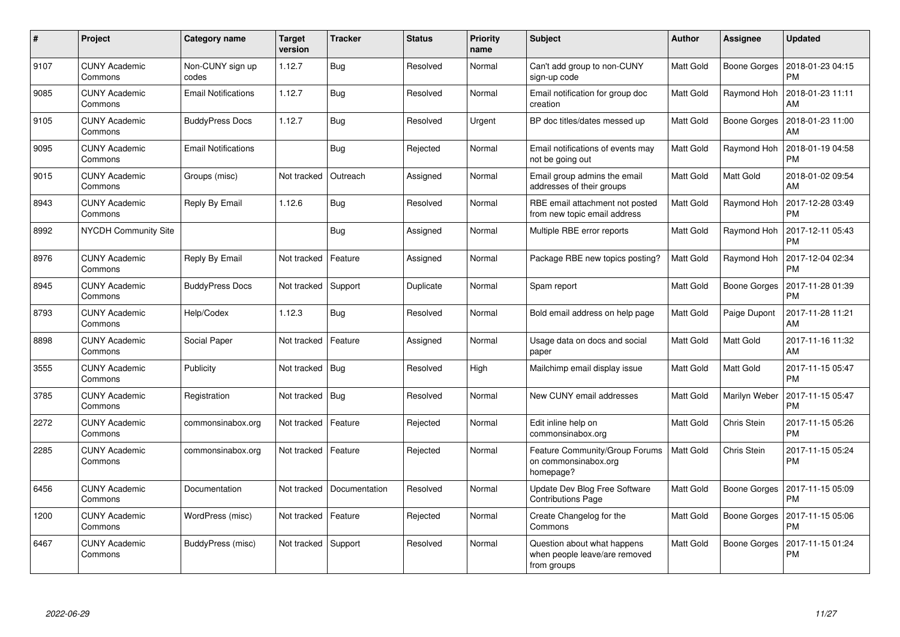| #    | Project                         | <b>Category name</b>       | <b>Target</b><br>version | <b>Tracker</b> | <b>Status</b> | <b>Priority</b><br>name | <b>Subject</b>                                                              | Author    | <b>Assignee</b>     | <b>Updated</b>                |
|------|---------------------------------|----------------------------|--------------------------|----------------|---------------|-------------------------|-----------------------------------------------------------------------------|-----------|---------------------|-------------------------------|
| 9107 | <b>CUNY Academic</b><br>Commons | Non-CUNY sign up<br>codes  | 1.12.7                   | Bug            | Resolved      | Normal                  | Can't add group to non-CUNY<br>sign-up code                                 | Matt Gold | Boone Gorges        | 2018-01-23 04:15<br><b>PM</b> |
| 9085 | <b>CUNY Academic</b><br>Commons | <b>Email Notifications</b> | 1.12.7                   | Bug            | Resolved      | Normal                  | Email notification for group doc<br>creation                                | Matt Gold | Raymond Hoh         | 2018-01-23 11:11<br>AM        |
| 9105 | <b>CUNY Academic</b><br>Commons | <b>BuddyPress Docs</b>     | 1.12.7                   | Bug            | Resolved      | Urgent                  | BP doc titles/dates messed up                                               | Matt Gold | Boone Gorges        | 2018-01-23 11:00<br>AM        |
| 9095 | <b>CUNY Academic</b><br>Commons | <b>Email Notifications</b> |                          | Bug            | Rejected      | Normal                  | Email notifications of events may<br>not be going out                       | Matt Gold | Raymond Hoh         | 2018-01-19 04:58<br><b>PM</b> |
| 9015 | <b>CUNY Academic</b><br>Commons | Groups (misc)              | Not tracked              | Outreach       | Assigned      | Normal                  | Email group admins the email<br>addresses of their groups                   | Matt Gold | Matt Gold           | 2018-01-02 09:54<br>AM        |
| 8943 | <b>CUNY Academic</b><br>Commons | Reply By Email             | 1.12.6                   | Bug            | Resolved      | Normal                  | RBE email attachment not posted<br>from new topic email address             | Matt Gold | Raymond Hoh         | 2017-12-28 03:49<br><b>PM</b> |
| 8992 | <b>NYCDH Community Site</b>     |                            |                          | Bug            | Assigned      | Normal                  | Multiple RBE error reports                                                  | Matt Gold | Raymond Hoh         | 2017-12-11 05:43<br><b>PM</b> |
| 8976 | <b>CUNY Academic</b><br>Commons | Reply By Email             | Not tracked              | Feature        | Assigned      | Normal                  | Package RBE new topics posting?                                             | Matt Gold | Raymond Hoh         | 2017-12-04 02:34<br><b>PM</b> |
| 8945 | <b>CUNY Academic</b><br>Commons | <b>BuddyPress Docs</b>     | Not tracked              | Support        | Duplicate     | Normal                  | Spam report                                                                 | Matt Gold | Boone Gorges        | 2017-11-28 01:39<br><b>PM</b> |
| 8793 | <b>CUNY Academic</b><br>Commons | Help/Codex                 | 1.12.3                   | Bug            | Resolved      | Normal                  | Bold email address on help page                                             | Matt Gold | Paige Dupont        | 2017-11-28 11:21<br>AM        |
| 8898 | <b>CUNY Academic</b><br>Commons | Social Paper               | Not tracked              | Feature        | Assigned      | Normal                  | Usage data on docs and social<br>paper                                      | Matt Gold | Matt Gold           | 2017-11-16 11:32<br>AM        |
| 3555 | <b>CUNY Academic</b><br>Commons | Publicity                  | Not tracked              | <b>Bug</b>     | Resolved      | High                    | Mailchimp email display issue                                               | Matt Gold | Matt Gold           | 2017-11-15 05:47<br><b>PM</b> |
| 3785 | <b>CUNY Academic</b><br>Commons | Registration               | Not tracked              | Bug            | Resolved      | Normal                  | New CUNY email addresses                                                    | Matt Gold | Marilyn Weber       | 2017-11-15 05:47<br><b>PM</b> |
| 2272 | <b>CUNY Academic</b><br>Commons | commonsinabox.org          | Not tracked              | Feature        | Rejected      | Normal                  | Edit inline help on<br>commonsinabox.org                                    | Matt Gold | Chris Stein         | 2017-11-15 05:26<br><b>PM</b> |
| 2285 | <b>CUNY Academic</b><br>Commons | commonsinabox.org          | Not tracked              | Feature        | Rejected      | Normal                  | Feature Community/Group Forums<br>on commonsinabox.org<br>homepage?         | Matt Gold | Chris Stein         | 2017-11-15 05:24<br><b>PM</b> |
| 6456 | <b>CUNY Academic</b><br>Commons | Documentation              | Not tracked              | Documentation  | Resolved      | Normal                  | Update Dev Blog Free Software<br><b>Contributions Page</b>                  | Matt Gold | Boone Gorges        | 2017-11-15 05:09<br><b>PM</b> |
| 1200 | <b>CUNY Academic</b><br>Commons | WordPress (misc)           | Not tracked              | Feature        | Rejected      | Normal                  | Create Changelog for the<br>Commons                                         | Matt Gold | Boone Gorges        | 2017-11-15 05:06<br><b>PM</b> |
| 6467 | <b>CUNY Academic</b><br>Commons | BuddyPress (misc)          | Not tracked   Support    |                | Resolved      | Normal                  | Question about what happens<br>when people leave/are removed<br>from groups | Matt Gold | <b>Boone Gorges</b> | 2017-11-15 01:24<br><b>PM</b> |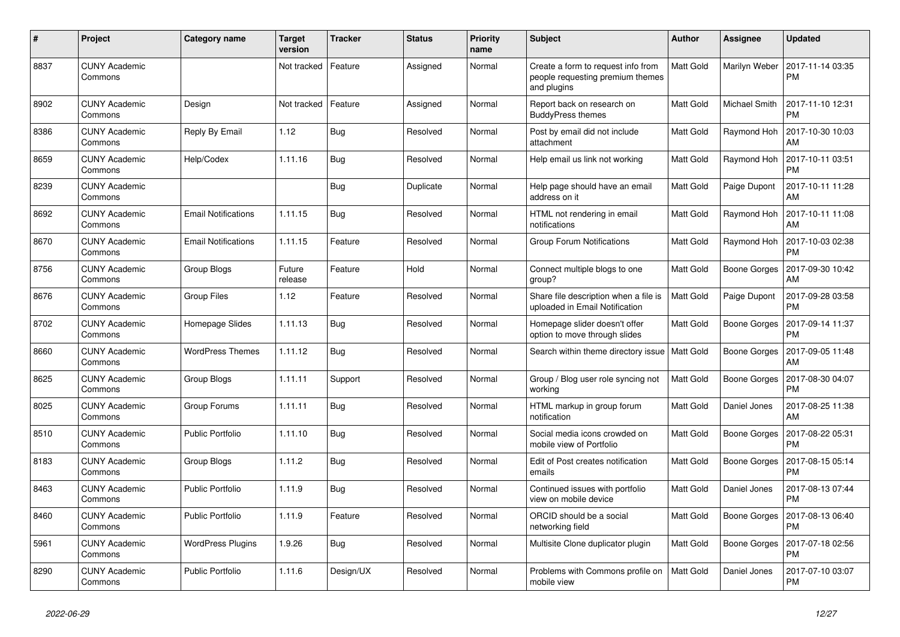| $\#$ | Project                         | Category name              | <b>Target</b><br>version | <b>Tracker</b> | <b>Status</b> | <b>Priority</b><br>name | <b>Subject</b>                                                                        | Author           | Assignee      | <b>Updated</b>                |
|------|---------------------------------|----------------------------|--------------------------|----------------|---------------|-------------------------|---------------------------------------------------------------------------------------|------------------|---------------|-------------------------------|
| 8837 | <b>CUNY Academic</b><br>Commons |                            | Not tracked              | Feature        | Assigned      | Normal                  | Create a form to request info from<br>people requesting premium themes<br>and plugins | <b>Matt Gold</b> | Marilyn Weber | 2017-11-14 03:35<br><b>PM</b> |
| 8902 | <b>CUNY Academic</b><br>Commons | Design                     | Not tracked              | Feature        | Assigned      | Normal                  | Report back on research on<br><b>BuddyPress themes</b>                                | Matt Gold        | Michael Smith | 2017-11-10 12:31<br><b>PM</b> |
| 8386 | <b>CUNY Academic</b><br>Commons | Reply By Email             | 1.12                     | Bug            | Resolved      | Normal                  | Post by email did not include<br>attachment                                           | Matt Gold        | Raymond Hoh   | 2017-10-30 10:03<br>AM        |
| 8659 | <b>CUNY Academic</b><br>Commons | Help/Codex                 | 1.11.16                  | Bug            | Resolved      | Normal                  | Help email us link not working                                                        | Matt Gold        | Raymond Hoh   | 2017-10-11 03:51<br><b>PM</b> |
| 8239 | <b>CUNY Academic</b><br>Commons |                            |                          | Bug            | Duplicate     | Normal                  | Help page should have an email<br>address on it                                       | Matt Gold        | Paige Dupont  | 2017-10-11 11:28<br>AM        |
| 8692 | <b>CUNY Academic</b><br>Commons | <b>Email Notifications</b> | 1.11.15                  | Bug            | Resolved      | Normal                  | HTML not rendering in email<br>notifications                                          | Matt Gold        | Raymond Hoh   | 2017-10-11 11:08<br>AM        |
| 8670 | <b>CUNY Academic</b><br>Commons | <b>Email Notifications</b> | 1.11.15                  | Feature        | Resolved      | Normal                  | Group Forum Notifications                                                             | Matt Gold        | Raymond Hoh   | 2017-10-03 02:38<br><b>PM</b> |
| 8756 | <b>CUNY Academic</b><br>Commons | Group Blogs                | Future<br>release        | Feature        | Hold          | Normal                  | Connect multiple blogs to one<br>group?                                               | Matt Gold        | Boone Gorges  | 2017-09-30 10:42<br>AM        |
| 8676 | <b>CUNY Academic</b><br>Commons | <b>Group Files</b>         | 1.12                     | Feature        | Resolved      | Normal                  | Share file description when a file is<br>uploaded in Email Notification               | Matt Gold        | Paige Dupont  | 2017-09-28 03:58<br><b>PM</b> |
| 8702 | <b>CUNY Academic</b><br>Commons | Homepage Slides            | 1.11.13                  | Bug            | Resolved      | Normal                  | Homepage slider doesn't offer<br>option to move through slides                        | Matt Gold        | Boone Gorges  | 2017-09-14 11:37<br><b>PM</b> |
| 8660 | <b>CUNY Academic</b><br>Commons | <b>WordPress Themes</b>    | 1.11.12                  | <b>Bug</b>     | Resolved      | Normal                  | Search within theme directory issue   Matt Gold                                       |                  | Boone Gorges  | 2017-09-05 11:48<br>AM        |
| 8625 | <b>CUNY Academic</b><br>Commons | Group Blogs                | 1.11.11                  | Support        | Resolved      | Normal                  | Group / Blog user role syncing not<br>working                                         | Matt Gold        | Boone Gorges  | 2017-08-30 04:07<br><b>PM</b> |
| 8025 | <b>CUNY Academic</b><br>Commons | Group Forums               | 1.11.11                  | Bug            | Resolved      | Normal                  | HTML markup in group forum<br>notification                                            | Matt Gold        | Daniel Jones  | 2017-08-25 11:38<br>AM        |
| 8510 | <b>CUNY Academic</b><br>Commons | <b>Public Portfolio</b>    | 1.11.10                  | Bug            | Resolved      | Normal                  | Social media icons crowded on<br>mobile view of Portfolio                             | Matt Gold        | Boone Gorges  | 2017-08-22 05:31<br><b>PM</b> |
| 8183 | <b>CUNY Academic</b><br>Commons | Group Blogs                | 1.11.2                   | Bug            | Resolved      | Normal                  | Edit of Post creates notification<br>emails                                           | Matt Gold        | Boone Gorges  | 2017-08-15 05:14<br><b>PM</b> |
| 8463 | <b>CUNY Academic</b><br>Commons | <b>Public Portfolio</b>    | 1.11.9                   | Bug            | Resolved      | Normal                  | Continued issues with portfolio<br>view on mobile device                              | Matt Gold        | Daniel Jones  | 2017-08-13 07:44<br><b>PM</b> |
| 8460 | <b>CUNY Academic</b><br>Commons | <b>Public Portfolio</b>    | 1.11.9                   | Feature        | Resolved      | Normal                  | ORCID should be a social<br>networking field                                          | Matt Gold        | Boone Gorges  | 2017-08-13 06:40<br><b>PM</b> |
| 5961 | <b>CUNY Academic</b><br>Commons | <b>WordPress Plugins</b>   | 1.9.26                   | Bug            | Resolved      | Normal                  | Multisite Clone duplicator plugin                                                     | Matt Gold        | Boone Gorges  | 2017-07-18 02:56<br><b>PM</b> |
| 8290 | <b>CUNY Academic</b><br>Commons | <b>Public Portfolio</b>    | 1.11.6                   | Design/UX      | Resolved      | Normal                  | Problems with Commons profile on<br>mobile view                                       | Matt Gold        | Daniel Jones  | 2017-07-10 03:07<br><b>PM</b> |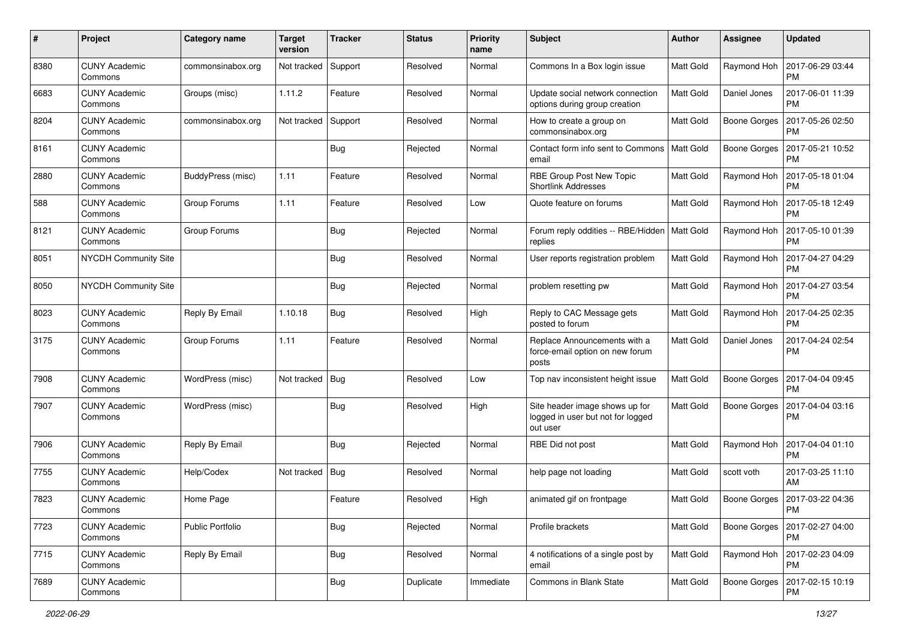| #    | Project                         | Category name     | <b>Target</b><br>version | <b>Tracker</b> | <b>Status</b> | <b>Priority</b><br>name | <b>Subject</b>                                                                  | Author           | <b>Assignee</b>     | <b>Updated</b>                |
|------|---------------------------------|-------------------|--------------------------|----------------|---------------|-------------------------|---------------------------------------------------------------------------------|------------------|---------------------|-------------------------------|
| 8380 | <b>CUNY Academic</b><br>Commons | commonsinabox.org | Not tracked              | Support        | Resolved      | Normal                  | Commons In a Box login issue                                                    | <b>Matt Gold</b> | Raymond Hoh         | 2017-06-29 03:44<br><b>PM</b> |
| 6683 | <b>CUNY Academic</b><br>Commons | Groups (misc)     | 1.11.2                   | Feature        | Resolved      | Normal                  | Update social network connection<br>options during group creation               | Matt Gold        | Daniel Jones        | 2017-06-01 11:39<br><b>PM</b> |
| 8204 | <b>CUNY Academic</b><br>Commons | commonsinabox.org | Not tracked              | Support        | Resolved      | Normal                  | How to create a group on<br>commonsinabox.org                                   | Matt Gold        | <b>Boone Gorges</b> | 2017-05-26 02:50<br><b>PM</b> |
| 8161 | <b>CUNY Academic</b><br>Commons |                   |                          | Bug            | Rejected      | Normal                  | Contact form info sent to Commons<br>email                                      | Matt Gold        | <b>Boone Gorges</b> | 2017-05-21 10:52<br><b>PM</b> |
| 2880 | <b>CUNY Academic</b><br>Commons | BuddyPress (misc) | 1.11                     | Feature        | Resolved      | Normal                  | RBE Group Post New Topic<br><b>Shortlink Addresses</b>                          | <b>Matt Gold</b> | Raymond Hoh         | 2017-05-18 01:04<br><b>PM</b> |
| 588  | <b>CUNY Academic</b><br>Commons | Group Forums      | 1.11                     | Feature        | Resolved      | Low                     | Quote feature on forums                                                         | Matt Gold        | Raymond Hoh         | 2017-05-18 12:49<br><b>PM</b> |
| 8121 | <b>CUNY Academic</b><br>Commons | Group Forums      |                          | Bug            | Rejected      | Normal                  | Forum reply oddities -- RBE/Hidden<br>replies                                   | Matt Gold        | Raymond Hoh         | 2017-05-10 01:39<br><b>PM</b> |
| 8051 | <b>NYCDH Community Site</b>     |                   |                          | <b>Bug</b>     | Resolved      | Normal                  | User reports registration problem                                               | Matt Gold        | Raymond Hoh         | 2017-04-27 04:29<br><b>PM</b> |
| 8050 | <b>NYCDH Community Site</b>     |                   |                          | <b>Bug</b>     | Rejected      | Normal                  | problem resetting pw                                                            | Matt Gold        | Raymond Hoh         | 2017-04-27 03:54<br><b>PM</b> |
| 8023 | <b>CUNY Academic</b><br>Commons | Reply By Email    | 1.10.18                  | Bug            | Resolved      | High                    | Reply to CAC Message gets<br>posted to forum                                    | Matt Gold        | Raymond Hoh         | 2017-04-25 02:35<br><b>PM</b> |
| 3175 | <b>CUNY Academic</b><br>Commons | Group Forums      | 1.11                     | Feature        | Resolved      | Normal                  | Replace Announcements with a<br>force-email option on new forum<br>posts        | <b>Matt Gold</b> | Daniel Jones        | 2017-04-24 02:54<br><b>PM</b> |
| 7908 | <b>CUNY Academic</b><br>Commons | WordPress (misc)  | Not tracked              | Bug            | Resolved      | Low                     | Top nav inconsistent height issue                                               | Matt Gold        | <b>Boone Gorges</b> | 2017-04-04 09:45<br>PM        |
| 7907 | <b>CUNY Academic</b><br>Commons | WordPress (misc)  |                          | Bug            | Resolved      | High                    | Site header image shows up for<br>logged in user but not for logged<br>out user | <b>Matt Gold</b> | <b>Boone Gorges</b> | 2017-04-04 03:16<br><b>PM</b> |
| 7906 | <b>CUNY Academic</b><br>Commons | Reply By Email    |                          | Bug            | Rejected      | Normal                  | RBE Did not post                                                                | <b>Matt Gold</b> | Raymond Hoh         | 2017-04-04 01:10<br><b>PM</b> |
| 7755 | <b>CUNY Academic</b><br>Commons | Help/Codex        | Not tracked              | <b>Bug</b>     | Resolved      | Normal                  | help page not loading                                                           | Matt Gold        | scott voth          | 2017-03-25 11:10<br>AM        |
| 7823 | <b>CUNY Academic</b><br>Commons | Home Page         |                          | Feature        | Resolved      | High                    | animated gif on frontpage                                                       | Matt Gold        | Boone Gorges        | 2017-03-22 04:36<br>PM        |
| 7723 | <b>CUNY Academic</b><br>Commons | Public Portfolio  |                          | <b>Bug</b>     | Rejected      | Normal                  | Profile brackets                                                                | Matt Gold        | Boone Gorges        | 2017-02-27 04:00<br><b>PM</b> |
| 7715 | <b>CUNY Academic</b><br>Commons | Reply By Email    |                          | <b>Bug</b>     | Resolved      | Normal                  | 4 notifications of a single post by<br>email                                    | Matt Gold        | Raymond Hoh         | 2017-02-23 04:09<br><b>PM</b> |
| 7689 | <b>CUNY Academic</b><br>Commons |                   |                          | <b>Bug</b>     | Duplicate     | Immediate               | Commons in Blank State                                                          | Matt Gold        | Boone Gorges        | 2017-02-15 10:19<br><b>PM</b> |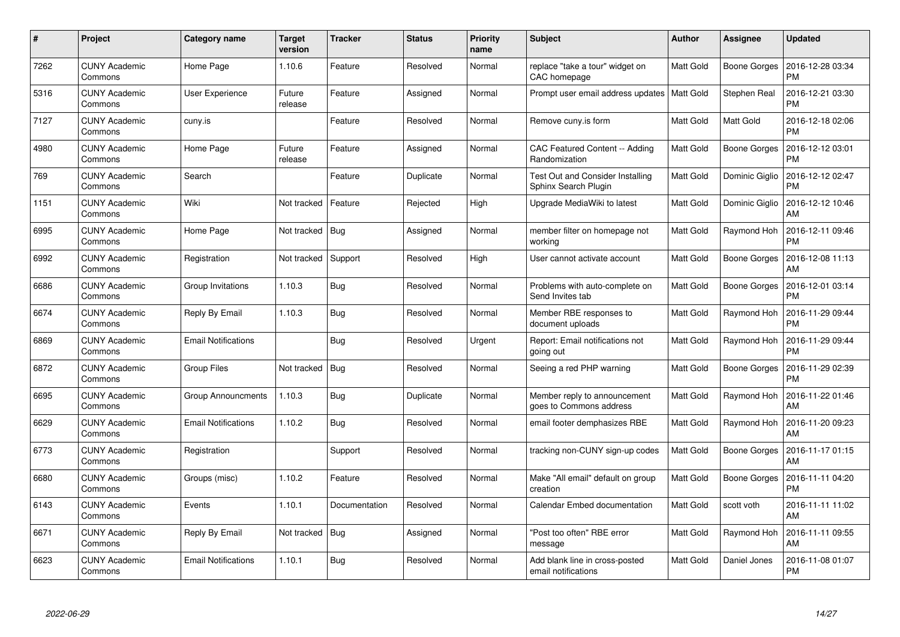| #    | Project                         | Category name              | <b>Target</b><br>version | <b>Tracker</b> | <b>Status</b> | <b>Priority</b><br>name | <b>Subject</b>                                                  | <b>Author</b> | <b>Assignee</b>     | <b>Updated</b>                |
|------|---------------------------------|----------------------------|--------------------------|----------------|---------------|-------------------------|-----------------------------------------------------------------|---------------|---------------------|-------------------------------|
| 7262 | <b>CUNY Academic</b><br>Commons | Home Page                  | 1.10.6                   | Feature        | Resolved      | Normal                  | replace "take a tour" widget on<br>CAC homepage                 | Matt Gold     | Boone Gorges        | 2016-12-28 03:34<br><b>PM</b> |
| 5316 | <b>CUNY Academic</b><br>Commons | User Experience            | Future<br>release        | Feature        | Assigned      | Normal                  | Prompt user email address updates   Matt Gold                   |               | <b>Stephen Real</b> | 2016-12-21 03:30<br><b>PM</b> |
| 7127 | <b>CUNY Academic</b><br>Commons | cuny.is                    |                          | Feature        | Resolved      | Normal                  | Remove cuny is form                                             | Matt Gold     | Matt Gold           | 2016-12-18 02:06<br><b>PM</b> |
| 4980 | <b>CUNY Academic</b><br>Commons | Home Page                  | Future<br>release        | Feature        | Assigned      | Normal                  | CAC Featured Content -- Adding<br>Randomization                 | Matt Gold     | Boone Gorges        | 2016-12-12 03:01<br><b>PM</b> |
| 769  | <b>CUNY Academic</b><br>Commons | Search                     |                          | Feature        | Duplicate     | Normal                  | <b>Test Out and Consider Installing</b><br>Sphinx Search Plugin | Matt Gold     | Dominic Giglio      | 2016-12-12 02:47<br><b>PM</b> |
| 1151 | <b>CUNY Academic</b><br>Commons | Wiki                       | Not tracked              | Feature        | Rejected      | High                    | Upgrade MediaWiki to latest                                     | Matt Gold     | Dominic Giglio      | 2016-12-12 10:46<br>AM        |
| 6995 | <b>CUNY Academic</b><br>Commons | Home Page                  | Not tracked              | Bug            | Assigned      | Normal                  | member filter on homepage not<br>working                        | Matt Gold     | Raymond Hoh         | 2016-12-11 09:46<br><b>PM</b> |
| 6992 | <b>CUNY Academic</b><br>Commons | Registration               | Not tracked              | Support        | Resolved      | High                    | User cannot activate account                                    | Matt Gold     | Boone Gorges        | 2016-12-08 11:13<br>AM        |
| 6686 | <b>CUNY Academic</b><br>Commons | Group Invitations          | 1.10.3                   | Bug            | Resolved      | Normal                  | Problems with auto-complete on<br>Send Invites tab              | Matt Gold     | Boone Gorges        | 2016-12-01 03:14<br><b>PM</b> |
| 6674 | <b>CUNY Academic</b><br>Commons | Reply By Email             | 1.10.3                   | Bug            | Resolved      | Normal                  | Member RBE responses to<br>document uploads                     | Matt Gold     | Raymond Hoh         | 2016-11-29 09:44<br><b>PM</b> |
| 6869 | <b>CUNY Academic</b><br>Commons | <b>Email Notifications</b> |                          | <b>Bug</b>     | Resolved      | Urgent                  | Report: Email notifications not<br>going out                    | Matt Gold     | Raymond Hoh         | 2016-11-29 09:44<br><b>PM</b> |
| 6872 | <b>CUNY Academic</b><br>Commons | Group Files                | Not tracked              | <b>Bug</b>     | Resolved      | Normal                  | Seeing a red PHP warning                                        | Matt Gold     | Boone Gorges        | 2016-11-29 02:39<br><b>PM</b> |
| 6695 | <b>CUNY Academic</b><br>Commons | <b>Group Announcments</b>  | 1.10.3                   | Bug            | Duplicate     | Normal                  | Member reply to announcement<br>goes to Commons address         | Matt Gold     | Raymond Hoh         | 2016-11-22 01:46<br>AM        |
| 6629 | <b>CUNY Academic</b><br>Commons | <b>Email Notifications</b> | 1.10.2                   | Bug            | Resolved      | Normal                  | email footer demphasizes RBE                                    | Matt Gold     | Raymond Hoh         | 2016-11-20 09:23<br>AM        |
| 6773 | <b>CUNY Academic</b><br>Commons | Registration               |                          | Support        | Resolved      | Normal                  | tracking non-CUNY sign-up codes                                 | Matt Gold     | Boone Gorges        | 2016-11-17 01:15<br>AM        |
| 6680 | <b>CUNY Academic</b><br>Commons | Groups (misc)              | 1.10.2                   | Feature        | Resolved      | Normal                  | Make "All email" default on group<br>creation                   | Matt Gold     | Boone Gorges        | 2016-11-11 04:20<br><b>PM</b> |
| 6143 | <b>CUNY Academic</b><br>Commons | Events                     | 1.10.1                   | Documentation  | Resolved      | Normal                  | Calendar Embed documentation                                    | Matt Gold     | scott voth          | 2016-11-11 11:02<br>AM        |
| 6671 | <b>CUNY Academic</b><br>Commons | Reply By Email             | Not tracked              | Bug            | Assigned      | Normal                  | 'Post too often" RBE error<br>message                           | Matt Gold     | Raymond Hoh         | 2016-11-11 09:55<br>AM        |
| 6623 | CUNY Academic<br>Commons        | <b>Email Notifications</b> | 1.10.1                   | <b>Bug</b>     | Resolved      | Normal                  | Add blank line in cross-posted<br>email notifications           | Matt Gold     | Daniel Jones        | 2016-11-08 01:07<br>PM        |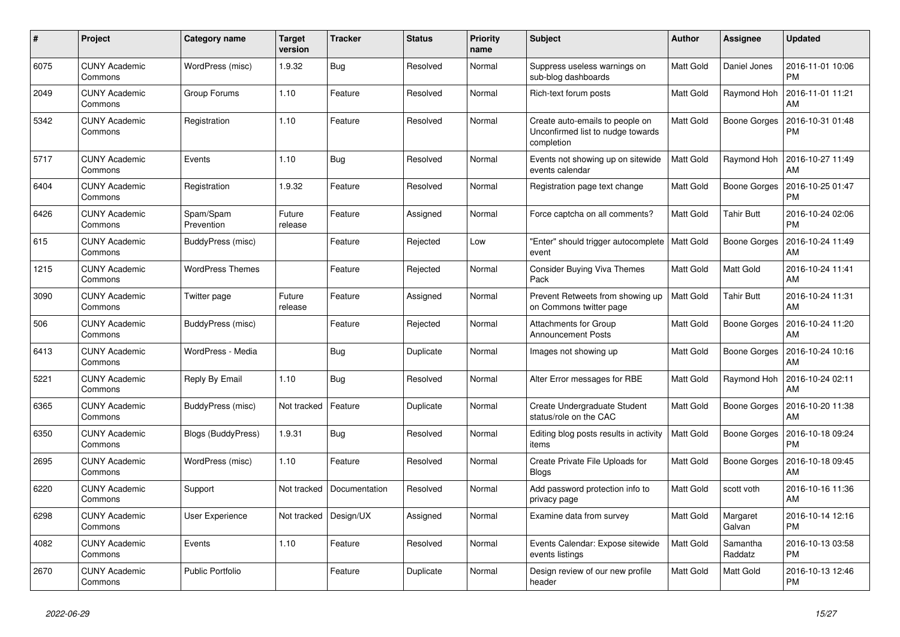| #    | Project                         | <b>Category name</b>    | Target<br>version | <b>Tracker</b> | <b>Status</b> | <b>Priority</b><br>name | <b>Subject</b>                                                                     | Author    | <b>Assignee</b>     | <b>Updated</b>                |
|------|---------------------------------|-------------------------|-------------------|----------------|---------------|-------------------------|------------------------------------------------------------------------------------|-----------|---------------------|-------------------------------|
| 6075 | <b>CUNY Academic</b><br>Commons | WordPress (misc)        | 1.9.32            | Bug            | Resolved      | Normal                  | Suppress useless warnings on<br>sub-blog dashboards                                | Matt Gold | Daniel Jones        | 2016-11-01 10:06<br><b>PM</b> |
| 2049 | <b>CUNY Academic</b><br>Commons | Group Forums            | 1.10              | Feature        | Resolved      | Normal                  | Rich-text forum posts                                                              | Matt Gold | Raymond Hoh         | 2016-11-01 11:21<br>AM        |
| 5342 | <b>CUNY Academic</b><br>Commons | Registration            | 1.10              | Feature        | Resolved      | Normal                  | Create auto-emails to people on<br>Unconfirmed list to nudge towards<br>completion | Matt Gold | <b>Boone Gorges</b> | 2016-10-31 01:48<br><b>PM</b> |
| 5717 | <b>CUNY Academic</b><br>Commons | Events                  | 1.10              | Bug            | Resolved      | Normal                  | Events not showing up on sitewide<br>events calendar                               | Matt Gold | Raymond Hoh         | 2016-10-27 11:49<br>AM        |
| 6404 | <b>CUNY Academic</b><br>Commons | Registration            | 1.9.32            | Feature        | Resolved      | Normal                  | Registration page text change                                                      | Matt Gold | Boone Gorges        | 2016-10-25 01:47<br><b>PM</b> |
| 6426 | <b>CUNY Academic</b><br>Commons | Spam/Spam<br>Prevention | Future<br>release | Feature        | Assigned      | Normal                  | Force captcha on all comments?                                                     | Matt Gold | <b>Tahir Butt</b>   | 2016-10-24 02:06<br><b>PM</b> |
| 615  | <b>CUNY Academic</b><br>Commons | BuddyPress (misc)       |                   | Feature        | Rejected      | Low                     | "Enter" should trigger autocomplete<br>event                                       | Matt Gold | <b>Boone Gorges</b> | 2016-10-24 11:49<br>AM        |
| 1215 | <b>CUNY Academic</b><br>Commons | <b>WordPress Themes</b> |                   | Feature        | Rejected      | Normal                  | <b>Consider Buying Viva Themes</b><br>Pack                                         | Matt Gold | Matt Gold           | 2016-10-24 11:41<br>AM        |
| 3090 | <b>CUNY Academic</b><br>Commons | Twitter page            | Future<br>release | Feature        | Assigned      | Normal                  | Prevent Retweets from showing up<br>on Commons twitter page                        | Matt Gold | <b>Tahir Butt</b>   | 2016-10-24 11:31<br>AM        |
| 506  | <b>CUNY Academic</b><br>Commons | BuddyPress (misc)       |                   | Feature        | Rejected      | Normal                  | Attachments for Group<br><b>Announcement Posts</b>                                 | Matt Gold | Boone Gorges        | 2016-10-24 11:20<br>AM        |
| 6413 | <b>CUNY Academic</b><br>Commons | WordPress - Media       |                   | Bug            | Duplicate     | Normal                  | Images not showing up                                                              | Matt Gold | Boone Gorges        | 2016-10-24 10:16<br>AM        |
| 5221 | <b>CUNY Academic</b><br>Commons | Reply By Email          | 1.10              | <b>Bug</b>     | Resolved      | Normal                  | Alter Error messages for RBE                                                       | Matt Gold | Raymond Hoh         | 2016-10-24 02:11<br>AM        |
| 6365 | <b>CUNY Academic</b><br>Commons | BuddyPress (misc)       | Not tracked       | Feature        | Duplicate     | Normal                  | Create Undergraduate Student<br>status/role on the CAC                             | Matt Gold | <b>Boone Gorges</b> | 2016-10-20 11:38<br>AM        |
| 6350 | <b>CUNY Academic</b><br>Commons | Blogs (BuddyPress)      | 1.9.31            | Bug            | Resolved      | Normal                  | Editing blog posts results in activity<br>items                                    | Matt Gold | Boone Gorges        | 2016-10-18 09:24<br><b>PM</b> |
| 2695 | <b>CUNY Academic</b><br>Commons | WordPress (misc)        | 1.10              | Feature        | Resolved      | Normal                  | Create Private File Uploads for<br><b>Blogs</b>                                    | Matt Gold | Boone Gorges        | 2016-10-18 09:45<br>AM        |
| 6220 | <b>CUNY Academic</b><br>Commons | Support                 | Not tracked       | Documentation  | Resolved      | Normal                  | Add password protection info to<br>privacy page                                    | Matt Gold | scott voth          | 2016-10-16 11:36<br>AM        |
| 6298 | <b>CUNY Academic</b><br>Commons | User Experience         | Not tracked       | Design/UX      | Assigned      | Normal                  | Examine data from survey                                                           | Matt Gold | Margaret<br>Galvan  | 2016-10-14 12:16<br><b>PM</b> |
| 4082 | <b>CUNY Academic</b><br>Commons | Events                  | 1.10              | Feature        | Resolved      | Normal                  | Events Calendar: Expose sitewide<br>events listings                                | Matt Gold | Samantha<br>Raddatz | 2016-10-13 03:58<br><b>PM</b> |
| 2670 | <b>CUNY Academic</b><br>Commons | <b>Public Portfolio</b> |                   | Feature        | Duplicate     | Normal                  | Design review of our new profile<br>header                                         | Matt Gold | Matt Gold           | 2016-10-13 12:46<br><b>PM</b> |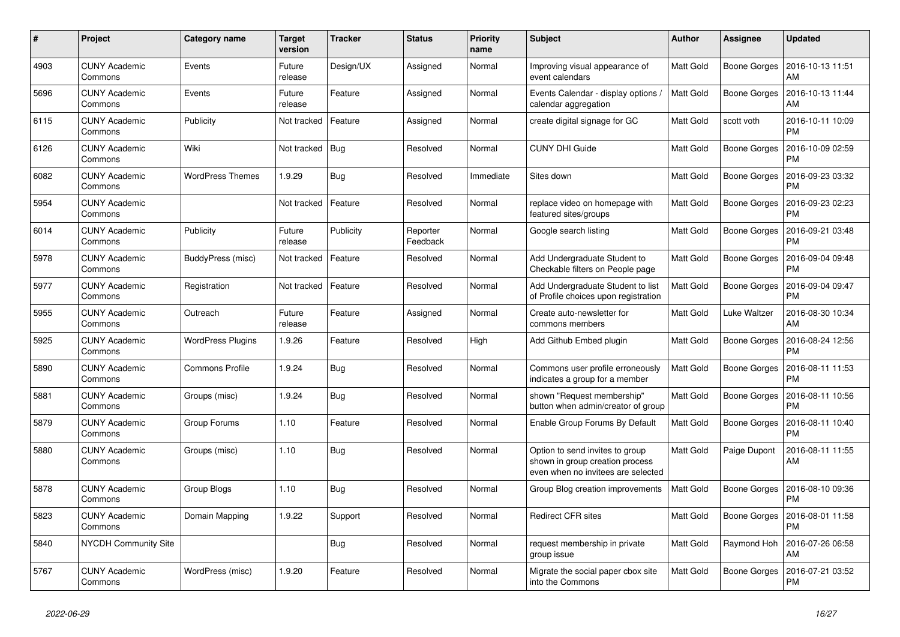| #    | Project                         | Category name            | <b>Target</b><br>version | <b>Tracker</b> | <b>Status</b>        | <b>Priority</b><br>name | <b>Subject</b>                                                                                           | <b>Author</b> | Assignee            | <b>Updated</b>                |
|------|---------------------------------|--------------------------|--------------------------|----------------|----------------------|-------------------------|----------------------------------------------------------------------------------------------------------|---------------|---------------------|-------------------------------|
| 4903 | <b>CUNY Academic</b><br>Commons | Events                   | Future<br>release        | Design/UX      | Assigned             | Normal                  | Improving visual appearance of<br>event calendars                                                        | Matt Gold     | Boone Gorges        | 2016-10-13 11:51<br>AM        |
| 5696 | <b>CUNY Academic</b><br>Commons | Events                   | Future<br>release        | Feature        | Assigned             | Normal                  | Events Calendar - display options /<br>calendar aggregation                                              | Matt Gold     | <b>Boone Gorges</b> | 2016-10-13 11:44<br>AM        |
| 6115 | <b>CUNY Academic</b><br>Commons | Publicity                | Not tracked              | Feature        | Assigned             | Normal                  | create digital signage for GC                                                                            | Matt Gold     | scott voth          | 2016-10-11 10:09<br><b>PM</b> |
| 6126 | <b>CUNY Academic</b><br>Commons | Wiki                     | Not tracked              | Bug            | Resolved             | Normal                  | <b>CUNY DHI Guide</b>                                                                                    | Matt Gold     | Boone Gorges        | 2016-10-09 02:59<br><b>PM</b> |
| 6082 | <b>CUNY Academic</b><br>Commons | <b>WordPress Themes</b>  | 1.9.29                   | Bug            | Resolved             | Immediate               | Sites down                                                                                               | Matt Gold     | Boone Gorges        | 2016-09-23 03:32<br><b>PM</b> |
| 5954 | <b>CUNY Academic</b><br>Commons |                          | Not tracked              | Feature        | Resolved             | Normal                  | replace video on homepage with<br>featured sites/groups                                                  | Matt Gold     | Boone Gorges        | 2016-09-23 02:23<br><b>PM</b> |
| 6014 | <b>CUNY Academic</b><br>Commons | Publicity                | Future<br>release        | Publicity      | Reporter<br>Feedback | Normal                  | Google search listing                                                                                    | Matt Gold     | Boone Gorges        | 2016-09-21 03:48<br><b>PM</b> |
| 5978 | <b>CUNY Academic</b><br>Commons | BuddyPress (misc)        | Not tracked              | Feature        | Resolved             | Normal                  | Add Undergraduate Student to<br>Checkable filters on People page                                         | Matt Gold     | Boone Gorges        | 2016-09-04 09:48<br><b>PM</b> |
| 5977 | <b>CUNY Academic</b><br>Commons | Registration             | Not tracked              | Feature        | Resolved             | Normal                  | Add Undergraduate Student to list<br>of Profile choices upon registration                                | Matt Gold     | <b>Boone Gorges</b> | 2016-09-04 09:47<br><b>PM</b> |
| 5955 | <b>CUNY Academic</b><br>Commons | Outreach                 | Future<br>release        | Feature        | Assigned             | Normal                  | Create auto-newsletter for<br>commons members                                                            | Matt Gold     | Luke Waltzer        | 2016-08-30 10:34<br>AM        |
| 5925 | <b>CUNY Academic</b><br>Commons | <b>WordPress Plugins</b> | 1.9.26                   | Feature        | Resolved             | High                    | Add Github Embed plugin                                                                                  | Matt Gold     | <b>Boone Gorges</b> | 2016-08-24 12:56<br><b>PM</b> |
| 5890 | <b>CUNY Academic</b><br>Commons | <b>Commons Profile</b>   | 1.9.24                   | Bug            | Resolved             | Normal                  | Commons user profile erroneously<br>indicates a group for a member                                       | Matt Gold     | <b>Boone Gorges</b> | 2016-08-11 11:53<br><b>PM</b> |
| 5881 | <b>CUNY Academic</b><br>Commons | Groups (misc)            | 1.9.24                   | Bug            | Resolved             | Normal                  | shown "Request membership"<br>button when admin/creator of group                                         | Matt Gold     | Boone Gorges        | 2016-08-11 10:56<br><b>PM</b> |
| 5879 | <b>CUNY Academic</b><br>Commons | Group Forums             | 1.10                     | Feature        | Resolved             | Normal                  | Enable Group Forums By Default                                                                           | Matt Gold     | Boone Gorges        | 2016-08-11 10:40<br><b>PM</b> |
| 5880 | <b>CUNY Academic</b><br>Commons | Groups (misc)            | 1.10                     | Bug            | Resolved             | Normal                  | Option to send invites to group<br>shown in group creation process<br>even when no invitees are selected | Matt Gold     | Paige Dupont        | 2016-08-11 11:55<br>AM        |
| 5878 | <b>CUNY Academic</b><br>Commons | Group Blogs              | 1.10                     | <b>Bug</b>     | Resolved             | Normal                  | Group Blog creation improvements                                                                         | Matt Gold     | Boone Gorges        | 2016-08-10 09:36<br><b>PM</b> |
| 5823 | <b>CUNY Academic</b><br>Commons | Domain Mapping           | 1.9.22                   | Support        | Resolved             | Normal                  | <b>Redirect CFR sites</b>                                                                                | Matt Gold     | Boone Gorges        | 2016-08-01 11:58<br><b>PM</b> |
| 5840 | <b>NYCDH Community Site</b>     |                          |                          | <b>Bug</b>     | Resolved             | Normal                  | request membership in private<br>group issue                                                             | Matt Gold     | Raymond Hoh         | 2016-07-26 06:58<br>AM        |
| 5767 | <b>CUNY Academic</b><br>Commons | WordPress (misc)         | 1.9.20                   | Feature        | Resolved             | Normal                  | Migrate the social paper cbox site<br>into the Commons                                                   | Matt Gold     | Boone Gorges        | 2016-07-21 03:52<br><b>PM</b> |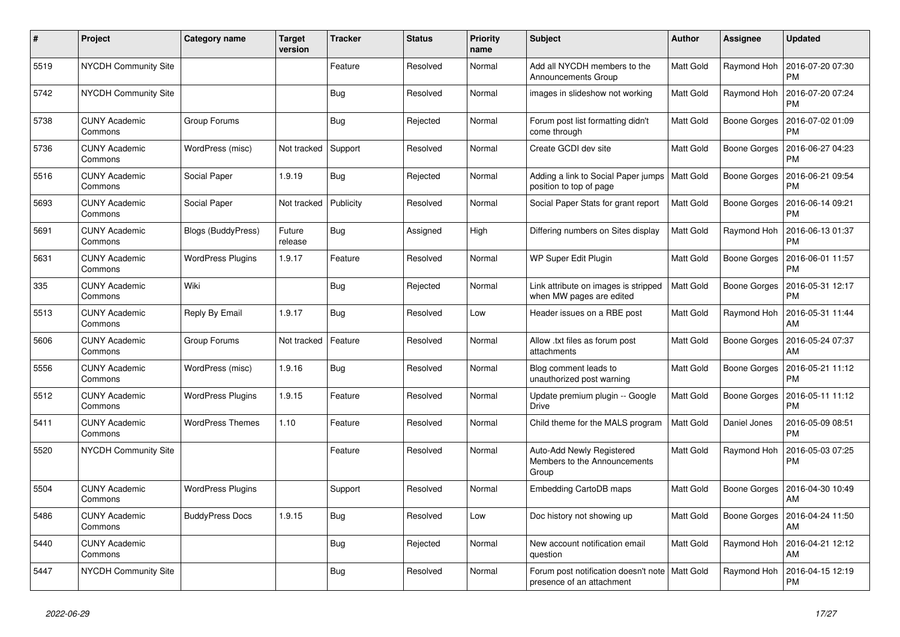| #    | Project                         | <b>Category name</b>      | <b>Target</b><br>version | <b>Tracker</b> | <b>Status</b> | <b>Priority</b><br>name | <b>Subject</b>                                                                | <b>Author</b> | <b>Assignee</b>     | <b>Updated</b>                |
|------|---------------------------------|---------------------------|--------------------------|----------------|---------------|-------------------------|-------------------------------------------------------------------------------|---------------|---------------------|-------------------------------|
| 5519 | NYCDH Community Site            |                           |                          | Feature        | Resolved      | Normal                  | Add all NYCDH members to the<br>Announcements Group                           | Matt Gold     | Raymond Hoh         | 2016-07-20 07:30<br><b>PM</b> |
| 5742 | <b>NYCDH Community Site</b>     |                           |                          | <b>Bug</b>     | Resolved      | Normal                  | images in slideshow not working                                               | Matt Gold     | Raymond Hoh         | 2016-07-20 07:24<br><b>PM</b> |
| 5738 | <b>CUNY Academic</b><br>Commons | Group Forums              |                          | <b>Bug</b>     | Rejected      | Normal                  | Forum post list formatting didn't<br>come through                             | Matt Gold     | Boone Gorges        | 2016-07-02 01:09<br><b>PM</b> |
| 5736 | <b>CUNY Academic</b><br>Commons | WordPress (misc)          | Not tracked              | Support        | Resolved      | Normal                  | Create GCDI dev site                                                          | Matt Gold     | Boone Gorges        | 2016-06-27 04:23<br><b>PM</b> |
| 5516 | <b>CUNY Academic</b><br>Commons | Social Paper              | 1.9.19                   | Bug            | Rejected      | Normal                  | Adding a link to Social Paper jumps<br>position to top of page                | Matt Gold     | Boone Gorges        | 2016-06-21 09:54<br><b>PM</b> |
| 5693 | <b>CUNY Academic</b><br>Commons | Social Paper              | Not tracked              | Publicity      | Resolved      | Normal                  | Social Paper Stats for grant report                                           | Matt Gold     | Boone Gorges        | 2016-06-14 09:21<br><b>PM</b> |
| 5691 | <b>CUNY Academic</b><br>Commons | <b>Blogs (BuddyPress)</b> | Future<br>release        | Bug            | Assigned      | High                    | Differing numbers on Sites display                                            | Matt Gold     | Raymond Hoh         | 2016-06-13 01:37<br><b>PM</b> |
| 5631 | <b>CUNY Academic</b><br>Commons | <b>WordPress Plugins</b>  | 1.9.17                   | Feature        | Resolved      | Normal                  | WP Super Edit Plugin                                                          | Matt Gold     | Boone Gorges        | 2016-06-01 11:57<br><b>PM</b> |
| 335  | <b>CUNY Academic</b><br>Commons | Wiki                      |                          | Bug            | Rejected      | Normal                  | Link attribute on images is stripped<br>when MW pages are edited              | Matt Gold     | Boone Gorges        | 2016-05-31 12:17<br><b>PM</b> |
| 5513 | <b>CUNY Academic</b><br>Commons | Reply By Email            | 1.9.17                   | <b>Bug</b>     | Resolved      | Low                     | Header issues on a RBE post                                                   | Matt Gold     | Raymond Hoh         | 2016-05-31 11:44<br>AM        |
| 5606 | <b>CUNY Academic</b><br>Commons | Group Forums              | Not tracked              | Feature        | Resolved      | Normal                  | Allow .txt files as forum post<br>attachments                                 | Matt Gold     | Boone Gorges        | 2016-05-24 07:37<br>AM        |
| 5556 | <b>CUNY Academic</b><br>Commons | WordPress (misc)          | 1.9.16                   | Bug            | Resolved      | Normal                  | Blog comment leads to<br>unauthorized post warning                            | Matt Gold     | <b>Boone Gorges</b> | 2016-05-21 11:12<br><b>PM</b> |
| 5512 | <b>CUNY Academic</b><br>Commons | <b>WordPress Plugins</b>  | 1.9.15                   | Feature        | Resolved      | Normal                  | Update premium plugin -- Google<br><b>Drive</b>                               | Matt Gold     | Boone Gorges        | 2016-05-11 11:12<br><b>PM</b> |
| 5411 | <b>CUNY Academic</b><br>Commons | <b>WordPress Themes</b>   | 1.10                     | Feature        | Resolved      | Normal                  | Child theme for the MALS program                                              | Matt Gold     | Daniel Jones        | 2016-05-09 08:51<br><b>PM</b> |
| 5520 | NYCDH Community Site            |                           |                          | Feature        | Resolved      | Normal                  | Auto-Add Newly Registered<br>Members to the Announcements<br>Group            | Matt Gold     | Raymond Hoh         | 2016-05-03 07:25<br>PM        |
| 5504 | <b>CUNY Academic</b><br>Commons | <b>WordPress Plugins</b>  |                          | Support        | Resolved      | Normal                  | Embedding CartoDB maps                                                        | Matt Gold     | Boone Gorges        | 2016-04-30 10:49<br>AM        |
| 5486 | <b>CUNY Academic</b><br>Commons | <b>BuddyPress Docs</b>    | 1.9.15                   | Bug            | Resolved      | Low                     | Doc history not showing up                                                    | Matt Gold     | Boone Gorges        | 2016-04-24 11:50<br>AM        |
| 5440 | <b>CUNY Academic</b><br>Commons |                           |                          | <b>Bug</b>     | Rejected      | Normal                  | New account notification email<br>question                                    | Matt Gold     | Raymond Hoh         | 2016-04-21 12:12<br>AM        |
| 5447 | <b>NYCDH Community Site</b>     |                           |                          | <b>Bug</b>     | Resolved      | Normal                  | Forum post notification doesn't note   Matt Gold<br>presence of an attachment |               | Raymond Hoh         | 2016-04-15 12:19<br><b>PM</b> |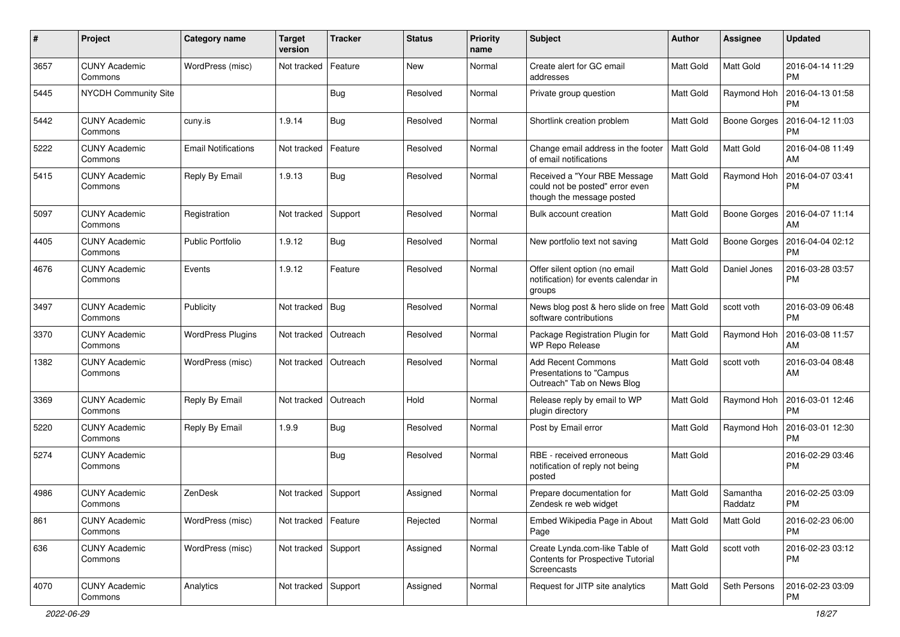| $\pmb{\#}$ | Project                         | <b>Category name</b>       | <b>Target</b><br>version | <b>Tracker</b> | <b>Status</b> | <b>Priority</b><br>name | Subject                                                                                      | Author           | Assignee            | <b>Updated</b>                |
|------------|---------------------------------|----------------------------|--------------------------|----------------|---------------|-------------------------|----------------------------------------------------------------------------------------------|------------------|---------------------|-------------------------------|
| 3657       | <b>CUNY Academic</b><br>Commons | WordPress (misc)           | Not tracked              | Feature        | <b>New</b>    | Normal                  | Create alert for GC email<br>addresses                                                       | Matt Gold        | Matt Gold           | 2016-04-14 11:29<br><b>PM</b> |
| 5445       | <b>NYCDH Community Site</b>     |                            |                          | <b>Bug</b>     | Resolved      | Normal                  | Private group question                                                                       | Matt Gold        | Raymond Hoh         | 2016-04-13 01:58<br><b>PM</b> |
| 5442       | <b>CUNY Academic</b><br>Commons | cuny.is                    | 1.9.14                   | Bug            | Resolved      | Normal                  | Shortlink creation problem                                                                   | Matt Gold        | <b>Boone Gorges</b> | 2016-04-12 11:03<br><b>PM</b> |
| 5222       | <b>CUNY Academic</b><br>Commons | <b>Email Notifications</b> | Not tracked              | Feature        | Resolved      | Normal                  | Change email address in the footer<br>of email notifications                                 | <b>Matt Gold</b> | Matt Gold           | 2016-04-08 11:49<br>AM        |
| 5415       | <b>CUNY Academic</b><br>Commons | Reply By Email             | 1.9.13                   | Bug            | Resolved      | Normal                  | Received a "Your RBE Message<br>could not be posted" error even<br>though the message posted | Matt Gold        | Raymond Hoh         | 2016-04-07 03:41<br><b>PM</b> |
| 5097       | <b>CUNY Academic</b><br>Commons | Registration               | Not tracked              | Support        | Resolved      | Normal                  | Bulk account creation                                                                        | Matt Gold        | Boone Gorges        | 2016-04-07 11:14<br>AM        |
| 4405       | <b>CUNY Academic</b><br>Commons | <b>Public Portfolio</b>    | 1.9.12                   | Bug            | Resolved      | Normal                  | New portfolio text not saving                                                                | Matt Gold        | Boone Gorges        | 2016-04-04 02:12<br>PM        |
| 4676       | <b>CUNY Academic</b><br>Commons | Events                     | 1.9.12                   | Feature        | Resolved      | Normal                  | Offer silent option (no email<br>notification) for events calendar in<br>groups              | Matt Gold        | Daniel Jones        | 2016-03-28 03:57<br><b>PM</b> |
| 3497       | <b>CUNY Academic</b><br>Commons | Publicity                  | Not tracked              | Bug            | Resolved      | Normal                  | News blog post & hero slide on free   Matt Gold<br>software contributions                    |                  | scott voth          | 2016-03-09 06:48<br><b>PM</b> |
| 3370       | <b>CUNY Academic</b><br>Commons | <b>WordPress Plugins</b>   | Not tracked              | Outreach       | Resolved      | Normal                  | Package Registration Plugin for<br><b>WP Repo Release</b>                                    | Matt Gold        | Raymond Hoh         | 2016-03-08 11:57<br>AM        |
| 1382       | <b>CUNY Academic</b><br>Commons | WordPress (misc)           | Not tracked              | Outreach       | Resolved      | Normal                  | <b>Add Recent Commons</b><br>Presentations to "Campus<br>Outreach" Tab on News Blog          | Matt Gold        | scott voth          | 2016-03-04 08:48<br>AM        |
| 3369       | <b>CUNY Academic</b><br>Commons | Reply By Email             | Not tracked              | Outreach       | Hold          | Normal                  | Release reply by email to WP<br>plugin directory                                             | Matt Gold        | Raymond Hoh         | 2016-03-01 12:46<br><b>PM</b> |
| 5220       | <b>CUNY Academic</b><br>Commons | Reply By Email             | 1.9.9                    | Bug            | Resolved      | Normal                  | Post by Email error                                                                          | Matt Gold        | Raymond Hoh         | 2016-03-01 12:30<br><b>PM</b> |
| 5274       | <b>CUNY Academic</b><br>Commons |                            |                          | Bug            | Resolved      | Normal                  | RBE - received erroneous<br>notification of reply not being<br>posted                        | Matt Gold        |                     | 2016-02-29 03:46<br><b>PM</b> |
| 4986       | <b>CUNY Academic</b><br>Commons | ZenDesk                    | Not tracked              | Support        | Assigned      | Normal                  | Prepare documentation for<br>Zendesk re web widget                                           | Matt Gold        | Samantha<br>Raddatz | 2016-02-25 03:09<br><b>PM</b> |
| 861        | <b>CUNY Academic</b><br>Commons | WordPress (misc)           | Not tracked              | Feature        | Rejected      | Normal                  | Embed Wikipedia Page in About<br>Page                                                        | Matt Gold        | Matt Gold           | 2016-02-23 06:00<br>PM        |
| 636        | <b>CUNY Academic</b><br>Commons | WordPress (misc)           | Not tracked Support      |                | Assigned      | Normal                  | Create Lynda.com-like Table of<br>Contents for Prospective Tutorial<br>Screencasts           | Matt Gold        | scott voth          | 2016-02-23 03:12<br><b>PM</b> |
| 4070       | <b>CUNY Academic</b><br>Commons | Analytics                  | Not tracked Support      |                | Assigned      | Normal                  | Request for JITP site analytics                                                              | Matt Gold        | Seth Persons        | 2016-02-23 03:09<br><b>PM</b> |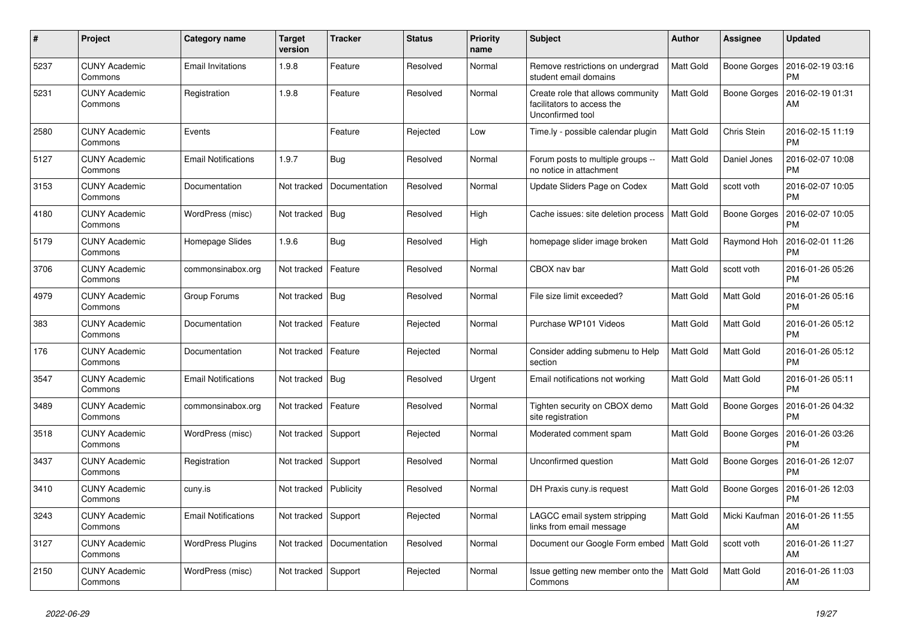| #    | Project                         | Category name              | <b>Target</b><br>version | <b>Tracker</b> | <b>Status</b> | <b>Priority</b><br>name | <b>Subject</b>                                                                      | Author           | <b>Assignee</b>     | <b>Updated</b>                |
|------|---------------------------------|----------------------------|--------------------------|----------------|---------------|-------------------------|-------------------------------------------------------------------------------------|------------------|---------------------|-------------------------------|
| 5237 | <b>CUNY Academic</b><br>Commons | <b>Email Invitations</b>   | 1.9.8                    | Feature        | Resolved      | Normal                  | Remove restrictions on undergrad<br>student email domains                           | Matt Gold        | Boone Gorges        | 2016-02-19 03:16<br><b>PM</b> |
| 5231 | <b>CUNY Academic</b><br>Commons | Registration               | 1.9.8                    | Feature        | Resolved      | Normal                  | Create role that allows community<br>facilitators to access the<br>Unconfirmed tool | Matt Gold        | <b>Boone Gorges</b> | 2016-02-19 01:31<br>AM        |
| 2580 | <b>CUNY Academic</b><br>Commons | Events                     |                          | Feature        | Rejected      | Low                     | Time.ly - possible calendar plugin                                                  | <b>Matt Gold</b> | Chris Stein         | 2016-02-15 11:19<br><b>PM</b> |
| 5127 | <b>CUNY Academic</b><br>Commons | <b>Email Notifications</b> | 1.9.7                    | Bug            | Resolved      | Normal                  | Forum posts to multiple groups --<br>no notice in attachment                        | Matt Gold        | Daniel Jones        | 2016-02-07 10:08<br><b>PM</b> |
| 3153 | <b>CUNY Academic</b><br>Commons | Documentation              | Not tracked              | Documentation  | Resolved      | Normal                  | Update Sliders Page on Codex                                                        | Matt Gold        | scott voth          | 2016-02-07 10:05<br><b>PM</b> |
| 4180 | <b>CUNY Academic</b><br>Commons | WordPress (misc)           | Not tracked              | Bug            | Resolved      | High                    | Cache issues: site deletion process                                                 | Matt Gold        | <b>Boone Gorges</b> | 2016-02-07 10:05<br><b>PM</b> |
| 5179 | <b>CUNY Academic</b><br>Commons | Homepage Slides            | 1.9.6                    | Bug            | Resolved      | High                    | homepage slider image broken                                                        | Matt Gold        | Raymond Hoh         | 2016-02-01 11:26<br><b>PM</b> |
| 3706 | <b>CUNY Academic</b><br>Commons | commonsinabox.org          | Not tracked              | Feature        | Resolved      | Normal                  | CBOX nav bar                                                                        | Matt Gold        | scott voth          | 2016-01-26 05:26<br><b>PM</b> |
| 4979 | <b>CUNY Academic</b><br>Commons | Group Forums               | Not tracked              | Bug            | Resolved      | Normal                  | File size limit exceeded?                                                           | Matt Gold        | Matt Gold           | 2016-01-26 05:16<br><b>PM</b> |
| 383  | <b>CUNY Academic</b><br>Commons | Documentation              | Not tracked              | Feature        | Rejected      | Normal                  | Purchase WP101 Videos                                                               | Matt Gold        | <b>Matt Gold</b>    | 2016-01-26 05:12<br><b>PM</b> |
| 176  | <b>CUNY Academic</b><br>Commons | Documentation              | Not tracked              | Feature        | Rejected      | Normal                  | Consider adding submenu to Help<br>section                                          | Matt Gold        | <b>Matt Gold</b>    | 2016-01-26 05:12<br><b>PM</b> |
| 3547 | <b>CUNY Academic</b><br>Commons | <b>Email Notifications</b> | Not tracked              | Bug            | Resolved      | Urgent                  | Email notifications not working                                                     | Matt Gold        | Matt Gold           | 2016-01-26 05:11<br><b>PM</b> |
| 3489 | <b>CUNY Academic</b><br>Commons | commonsinabox.org          | Not tracked              | Feature        | Resolved      | Normal                  | Tighten security on CBOX demo<br>site registration                                  | Matt Gold        | Boone Gorges        | 2016-01-26 04:32<br><b>PM</b> |
| 3518 | <b>CUNY Academic</b><br>Commons | WordPress (misc)           | Not tracked              | Support        | Rejected      | Normal                  | Moderated comment spam                                                              | Matt Gold        | Boone Gorges        | 2016-01-26 03:26<br><b>PM</b> |
| 3437 | <b>CUNY Academic</b><br>Commons | Registration               | Not tracked              | Support        | Resolved      | Normal                  | Unconfirmed question                                                                | Matt Gold        | Boone Gorges        | 2016-01-26 12:07<br><b>PM</b> |
| 3410 | <b>CUNY Academic</b><br>Commons | cuny.is                    | Not tracked              | Publicity      | Resolved      | Normal                  | DH Praxis cuny is request                                                           | Matt Gold        | Boone Gorges        | 2016-01-26 12:03<br>РM        |
| 3243 | CUNY Academic<br>Commons        | <b>Email Notifications</b> | Not tracked              | Support        | Rejected      | Normal                  | LAGCC email system stripping<br>links from email message                            | Matt Gold        | Micki Kaufman       | 2016-01-26 11:55<br>AM        |
| 3127 | <b>CUNY Academic</b><br>Commons | <b>WordPress Plugins</b>   | Not tracked              | Documentation  | Resolved      | Normal                  | Document our Google Form embed   Matt Gold                                          |                  | scott voth          | 2016-01-26 11:27<br>AM        |
| 2150 | <b>CUNY Academic</b><br>Commons | WordPress (misc)           | Not tracked              | Support        | Rejected      | Normal                  | Issue getting new member onto the<br>Commons                                        | Matt Gold        | Matt Gold           | 2016-01-26 11:03<br>AM        |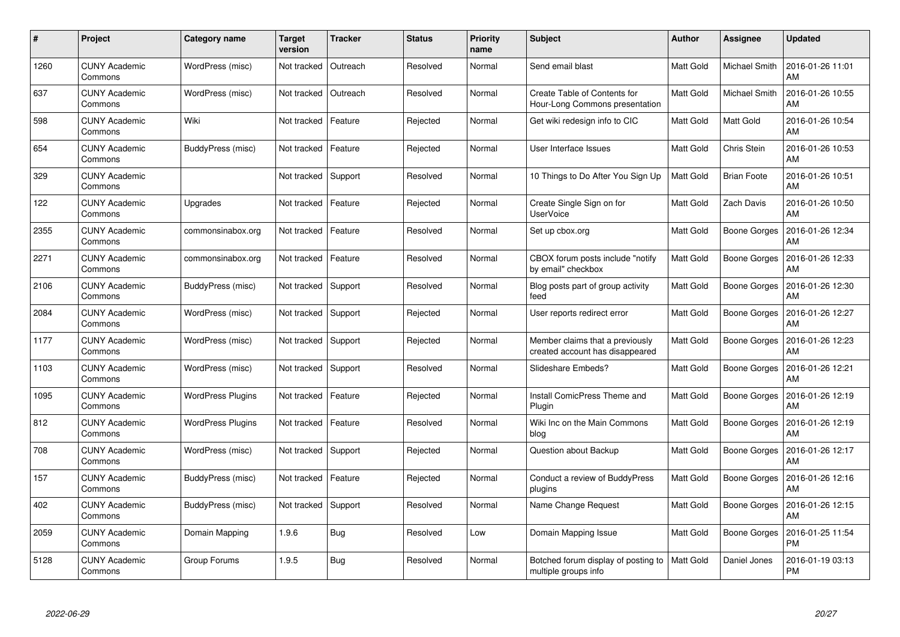| #    | Project                         | Category name            | <b>Target</b><br>version | <b>Tracker</b> | <b>Status</b> | <b>Priority</b><br>name | <b>Subject</b>                                                     | <b>Author</b>    | <b>Assignee</b>     | <b>Updated</b>                |
|------|---------------------------------|--------------------------|--------------------------|----------------|---------------|-------------------------|--------------------------------------------------------------------|------------------|---------------------|-------------------------------|
| 1260 | <b>CUNY Academic</b><br>Commons | WordPress (misc)         | Not tracked              | Outreach       | Resolved      | Normal                  | Send email blast                                                   | <b>Matt Gold</b> | Michael Smith       | 2016-01-26 11:01<br>AM        |
| 637  | <b>CUNY Academic</b><br>Commons | WordPress (misc)         | Not tracked              | Outreach       | Resolved      | Normal                  | Create Table of Contents for<br>Hour-Long Commons presentation     | Matt Gold        | Michael Smith       | 2016-01-26 10:55<br>AM        |
| 598  | <b>CUNY Academic</b><br>Commons | Wiki                     | Not tracked              | Feature        | Rejected      | Normal                  | Get wiki redesign info to CIC                                      | Matt Gold        | Matt Gold           | 2016-01-26 10:54<br>AM        |
| 654  | <b>CUNY Academic</b><br>Commons | BuddyPress (misc)        | Not tracked              | Feature        | Rejected      | Normal                  | User Interface Issues                                              | Matt Gold        | Chris Stein         | 2016-01-26 10:53<br>AM        |
| 329  | <b>CUNY Academic</b><br>Commons |                          | Not tracked              | Support        | Resolved      | Normal                  | 10 Things to Do After You Sign Up                                  | Matt Gold        | <b>Brian Foote</b>  | 2016-01-26 10:51<br>AM        |
| 122  | <b>CUNY Academic</b><br>Commons | Upgrades                 | Not tracked              | Feature        | Rejected      | Normal                  | Create Single Sign on for<br><b>UserVoice</b>                      | Matt Gold        | <b>Zach Davis</b>   | 2016-01-26 10:50<br>AM        |
| 2355 | <b>CUNY Academic</b><br>Commons | commonsinabox.org        | Not tracked              | Feature        | Resolved      | Normal                  | Set up cbox.org                                                    | Matt Gold        | <b>Boone Gorges</b> | 2016-01-26 12:34<br>AM        |
| 2271 | <b>CUNY Academic</b><br>Commons | commonsinabox.org        | Not tracked              | Feature        | Resolved      | Normal                  | CBOX forum posts include "notify<br>by email" checkbox             | Matt Gold        | Boone Gorges        | 2016-01-26 12:33<br>AM        |
| 2106 | <b>CUNY Academic</b><br>Commons | BuddyPress (misc)        | Not tracked              | Support        | Resolved      | Normal                  | Blog posts part of group activity<br>feed                          | Matt Gold        | Boone Gorges        | 2016-01-26 12:30<br>AM        |
| 2084 | <b>CUNY Academic</b><br>Commons | WordPress (misc)         | Not tracked              | Support        | Rejected      | Normal                  | User reports redirect error                                        | Matt Gold        | Boone Gorges        | 2016-01-26 12:27<br>AM        |
| 1177 | <b>CUNY Academic</b><br>Commons | WordPress (misc)         | Not tracked              | Support        | Rejected      | Normal                  | Member claims that a previously<br>created account has disappeared | Matt Gold        | Boone Gorges        | 2016-01-26 12:23<br>AM        |
| 1103 | <b>CUNY Academic</b><br>Commons | WordPress (misc)         | Not tracked              | Support        | Resolved      | Normal                  | Slideshare Embeds?                                                 | Matt Gold        | Boone Gorges        | 2016-01-26 12:21<br>AM        |
| 1095 | <b>CUNY Academic</b><br>Commons | <b>WordPress Plugins</b> | Not tracked              | Feature        | Rejected      | Normal                  | Install ComicPress Theme and<br>Plugin                             | Matt Gold        | Boone Gorges        | 2016-01-26 12:19<br>AM        |
| 812  | <b>CUNY Academic</b><br>Commons | <b>WordPress Plugins</b> | Not tracked              | Feature        | Resolved      | Normal                  | Wiki Inc on the Main Commons<br>blog                               | Matt Gold        | <b>Boone Gorges</b> | 2016-01-26 12:19<br>AM        |
| 708  | <b>CUNY Academic</b><br>Commons | WordPress (misc)         | Not tracked              | Support        | Rejected      | Normal                  | Question about Backup                                              | Matt Gold        | <b>Boone Gorges</b> | 2016-01-26 12:17<br>AM        |
| 157  | <b>CUNY Academic</b><br>Commons | BuddyPress (misc)        | Not tracked              | Feature        | Rejected      | Normal                  | Conduct a review of BuddyPress<br>plugins                          | Matt Gold        | Boone Gorges        | 2016-01-26 12:16<br>AM        |
| 402  | <b>CUNY Academic</b><br>Commons | BuddyPress (misc)        | Not tracked              | Support        | Resolved      | Normal                  | Name Change Request                                                | Matt Gold        | Boone Gorges        | 2016-01-26 12:15<br>AM        |
| 2059 | <b>CUNY Academic</b><br>Commons | Domain Mapping           | 1.9.6                    | Bug            | Resolved      | Low                     | Domain Mapping Issue                                               | Matt Gold        | <b>Boone Gorges</b> | 2016-01-25 11:54<br><b>PM</b> |
| 5128 | CUNY Academic<br>Commons        | Group Forums             | 1.9.5                    | <b>Bug</b>     | Resolved      | Normal                  | Botched forum display of posting to<br>multiple groups info        | Matt Gold        | Daniel Jones        | 2016-01-19 03:13<br>PM        |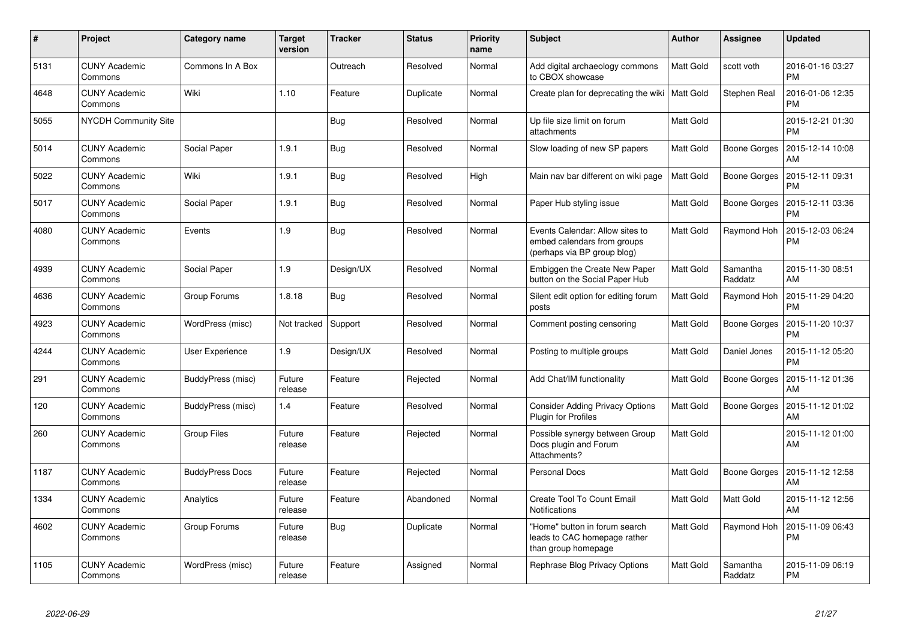| $\pmb{\#}$ | Project                         | Category name          | <b>Target</b><br>version | <b>Tracker</b> | <b>Status</b> | <b>Priority</b><br>name | <b>Subject</b>                                                                                | Author           | Assignee            | <b>Updated</b>                |
|------------|---------------------------------|------------------------|--------------------------|----------------|---------------|-------------------------|-----------------------------------------------------------------------------------------------|------------------|---------------------|-------------------------------|
| 5131       | <b>CUNY Academic</b><br>Commons | Commons In A Box       |                          | Outreach       | Resolved      | Normal                  | Add digital archaeology commons<br>to CBOX showcase                                           | <b>Matt Gold</b> | scott voth          | 2016-01-16 03:27<br><b>PM</b> |
| 4648       | <b>CUNY Academic</b><br>Commons | Wiki                   | 1.10                     | Feature        | Duplicate     | Normal                  | Create plan for deprecating the wiki   Matt Gold                                              |                  | Stephen Real        | 2016-01-06 12:35<br><b>PM</b> |
| 5055       | <b>NYCDH Community Site</b>     |                        |                          | Bug            | Resolved      | Normal                  | Up file size limit on forum<br>attachments                                                    | Matt Gold        |                     | 2015-12-21 01:30<br><b>PM</b> |
| 5014       | <b>CUNY Academic</b><br>Commons | Social Paper           | 1.9.1                    | <b>Bug</b>     | Resolved      | Normal                  | Slow loading of new SP papers                                                                 | Matt Gold        | Boone Gorges        | 2015-12-14 10:08<br>AM        |
| 5022       | <b>CUNY Academic</b><br>Commons | Wiki                   | 1.9.1                    | Bug            | Resolved      | High                    | Main nav bar different on wiki page                                                           | Matt Gold        | Boone Gorges        | 2015-12-11 09:31<br><b>PM</b> |
| 5017       | <b>CUNY Academic</b><br>Commons | Social Paper           | 1.9.1                    | Bug            | Resolved      | Normal                  | Paper Hub styling issue                                                                       | Matt Gold        | Boone Gorges        | 2015-12-11 03:36<br><b>PM</b> |
| 4080       | <b>CUNY Academic</b><br>Commons | Events                 | 1.9                      | Bug            | Resolved      | Normal                  | Events Calendar: Allow sites to<br>embed calendars from groups<br>(perhaps via BP group blog) | Matt Gold        | Raymond Hoh         | 2015-12-03 06:24<br><b>PM</b> |
| 4939       | <b>CUNY Academic</b><br>Commons | Social Paper           | 1.9                      | Design/UX      | Resolved      | Normal                  | Embiggen the Create New Paper<br>button on the Social Paper Hub                               | Matt Gold        | Samantha<br>Raddatz | 2015-11-30 08:51<br>AM        |
| 4636       | <b>CUNY Academic</b><br>Commons | Group Forums           | 1.8.18                   | Bug            | Resolved      | Normal                  | Silent edit option for editing forum<br>posts                                                 | <b>Matt Gold</b> | Raymond Hoh         | 2015-11-29 04:20<br><b>PM</b> |
| 4923       | <b>CUNY Academic</b><br>Commons | WordPress (misc)       | Not tracked              | Support        | Resolved      | Normal                  | Comment posting censoring                                                                     | Matt Gold        | Boone Gorges        | 2015-11-20 10:37<br><b>PM</b> |
| 4244       | <b>CUNY Academic</b><br>Commons | User Experience        | 1.9                      | Design/UX      | Resolved      | Normal                  | Posting to multiple groups                                                                    | Matt Gold        | Daniel Jones        | 2015-11-12 05:20<br><b>PM</b> |
| 291        | <b>CUNY Academic</b><br>Commons | BuddyPress (misc)      | Future<br>release        | Feature        | Rejected      | Normal                  | Add Chat/IM functionality                                                                     | Matt Gold        | Boone Gorges        | 2015-11-12 01:36<br>AM        |
| 120        | <b>CUNY Academic</b><br>Commons | BuddyPress (misc)      | 1.4                      | Feature        | Resolved      | Normal                  | <b>Consider Adding Privacy Options</b><br>Plugin for Profiles                                 | Matt Gold        | Boone Gorges        | 2015-11-12 01:02<br>AM        |
| 260        | <b>CUNY Academic</b><br>Commons | <b>Group Files</b>     | Future<br>release        | Feature        | Rejected      | Normal                  | Possible synergy between Group<br>Docs plugin and Forum<br>Attachments?                       | Matt Gold        |                     | 2015-11-12 01:00<br>AM        |
| 1187       | <b>CUNY Academic</b><br>Commons | <b>BuddyPress Docs</b> | Future<br>release        | Feature        | Rejected      | Normal                  | <b>Personal Docs</b>                                                                          | Matt Gold        | Boone Gorges        | 2015-11-12 12:58<br>AM        |
| 1334       | <b>CUNY Academic</b><br>Commons | Analytics              | Future<br>release        | Feature        | Abandoned     | Normal                  | Create Tool To Count Email<br><b>Notifications</b>                                            | Matt Gold        | Matt Gold           | 2015-11-12 12:56<br>AM        |
| 4602       | <b>CUNY Academic</b><br>Commons | Group Forums           | Future<br>release        | <b>Bug</b>     | Duplicate     | Normal                  | 'Home" button in forum search<br>leads to CAC homepage rather<br>than group homepage          | Matt Gold        | Raymond Hoh         | 2015-11-09 06:43<br>PM        |
| 1105       | <b>CUNY Academic</b><br>Commons | WordPress (misc)       | Future<br>release        | Feature        | Assigned      | Normal                  | Rephrase Blog Privacy Options                                                                 | Matt Gold        | Samantha<br>Raddatz | 2015-11-09 06:19<br><b>PM</b> |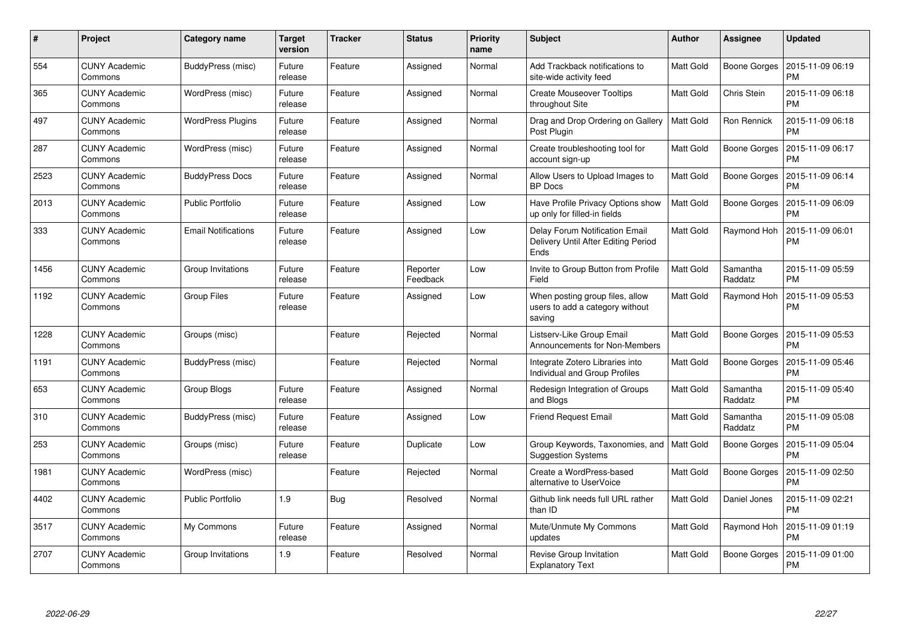| #    | Project                         | Category name              | Target<br>version | <b>Tracker</b> | <b>Status</b>        | <b>Priority</b><br>name | <b>Subject</b>                                                                | <b>Author</b>    | Assignee            | <b>Updated</b>                |
|------|---------------------------------|----------------------------|-------------------|----------------|----------------------|-------------------------|-------------------------------------------------------------------------------|------------------|---------------------|-------------------------------|
| 554  | <b>CUNY Academic</b><br>Commons | BuddyPress (misc)          | Future<br>release | Feature        | Assigned             | Normal                  | Add Trackback notifications to<br>site-wide activity feed                     | Matt Gold        | Boone Gorges        | 2015-11-09 06:19<br><b>PM</b> |
| 365  | <b>CUNY Academic</b><br>Commons | WordPress (misc)           | Future<br>release | Feature        | Assigned             | Normal                  | <b>Create Mouseover Tooltips</b><br>throughout Site                           | Matt Gold        | Chris Stein         | 2015-11-09 06:18<br><b>PM</b> |
| 497  | <b>CUNY Academic</b><br>Commons | <b>WordPress Plugins</b>   | Future<br>release | Feature        | Assigned             | Normal                  | Drag and Drop Ordering on Gallery<br>Post Plugin                              | Matt Gold        | Ron Rennick         | 2015-11-09 06:18<br><b>PM</b> |
| 287  | <b>CUNY Academic</b><br>Commons | WordPress (misc)           | Future<br>release | Feature        | Assigned             | Normal                  | Create troubleshooting tool for<br>account sign-up                            | Matt Gold        | <b>Boone Gorges</b> | 2015-11-09 06:17<br><b>PM</b> |
| 2523 | <b>CUNY Academic</b><br>Commons | <b>BuddyPress Docs</b>     | Future<br>release | Feature        | Assigned             | Normal                  | Allow Users to Upload Images to<br><b>BP</b> Docs                             | Matt Gold        | Boone Gorges        | 2015-11-09 06:14<br><b>PM</b> |
| 2013 | <b>CUNY Academic</b><br>Commons | <b>Public Portfolio</b>    | Future<br>release | Feature        | Assigned             | Low                     | Have Profile Privacy Options show<br>up only for filled-in fields             | Matt Gold        | Boone Gorges        | 2015-11-09 06:09<br><b>PM</b> |
| 333  | <b>CUNY Academic</b><br>Commons | <b>Email Notifications</b> | Future<br>release | Feature        | Assigned             | Low                     | Delay Forum Notification Email<br>Delivery Until After Editing Period<br>Ends | Matt Gold        | Raymond Hoh         | 2015-11-09 06:01<br><b>PM</b> |
| 1456 | <b>CUNY Academic</b><br>Commons | Group Invitations          | Future<br>release | Feature        | Reporter<br>Feedback | Low                     | Invite to Group Button from Profile<br>Field                                  | Matt Gold        | Samantha<br>Raddatz | 2015-11-09 05:59<br><b>PM</b> |
| 1192 | <b>CUNY Academic</b><br>Commons | <b>Group Files</b>         | Future<br>release | Feature        | Assigned             | Low                     | When posting group files, allow<br>users to add a category without<br>saving  | Matt Gold        | Raymond Hoh         | 2015-11-09 05:53<br><b>PM</b> |
| 1228 | <b>CUNY Academic</b><br>Commons | Groups (misc)              |                   | Feature        | Rejected             | Normal                  | Listserv-Like Group Email<br>Announcements for Non-Members                    | Matt Gold        | Boone Gorges        | 2015-11-09 05:53<br><b>PM</b> |
| 1191 | <b>CUNY Academic</b><br>Commons | BuddyPress (misc)          |                   | Feature        | Rejected             | Normal                  | Integrate Zotero Libraries into<br>Individual and Group Profiles              | Matt Gold        | Boone Gorges        | 2015-11-09 05:46<br><b>PM</b> |
| 653  | <b>CUNY Academic</b><br>Commons | Group Blogs                | Future<br>release | Feature        | Assigned             | Normal                  | Redesign Integration of Groups<br>and Blogs                                   | Matt Gold        | Samantha<br>Raddatz | 2015-11-09 05:40<br><b>PM</b> |
| 310  | <b>CUNY Academic</b><br>Commons | BuddyPress (misc)          | Future<br>release | Feature        | Assigned             | Low                     | <b>Friend Request Email</b>                                                   | Matt Gold        | Samantha<br>Raddatz | 2015-11-09 05:08<br><b>PM</b> |
| 253  | <b>CUNY Academic</b><br>Commons | Groups (misc)              | Future<br>release | Feature        | Duplicate            | Low                     | Group Keywords, Taxonomies, and<br><b>Suggestion Systems</b>                  | Matt Gold        | Boone Gorges        | 2015-11-09 05:04<br><b>PM</b> |
| 1981 | <b>CUNY Academic</b><br>Commons | WordPress (misc)           |                   | Feature        | Rejected             | Normal                  | Create a WordPress-based<br>alternative to UserVoice                          | Matt Gold        | Boone Gorges        | 2015-11-09 02:50<br><b>PM</b> |
| 4402 | <b>CUNY Academic</b><br>Commons | <b>Public Portfolio</b>    | 1.9               | Bug            | Resolved             | Normal                  | Github link needs full URL rather<br>than ID                                  | Matt Gold        | Daniel Jones        | 2015-11-09 02:21<br><b>PM</b> |
| 3517 | <b>CUNY Academic</b><br>Commons | My Commons                 | Future<br>release | Feature        | Assigned             | Normal                  | Mute/Unmute My Commons<br>updates                                             | Matt Gold        | Raymond Hoh         | 2015-11-09 01:19<br><b>PM</b> |
| 2707 | <b>CUNY Academic</b><br>Commons | Group Invitations          | 1.9               | Feature        | Resolved             | Normal                  | Revise Group Invitation<br><b>Explanatory Text</b>                            | <b>Matt Gold</b> | Boone Gorges        | 2015-11-09 01:00<br><b>PM</b> |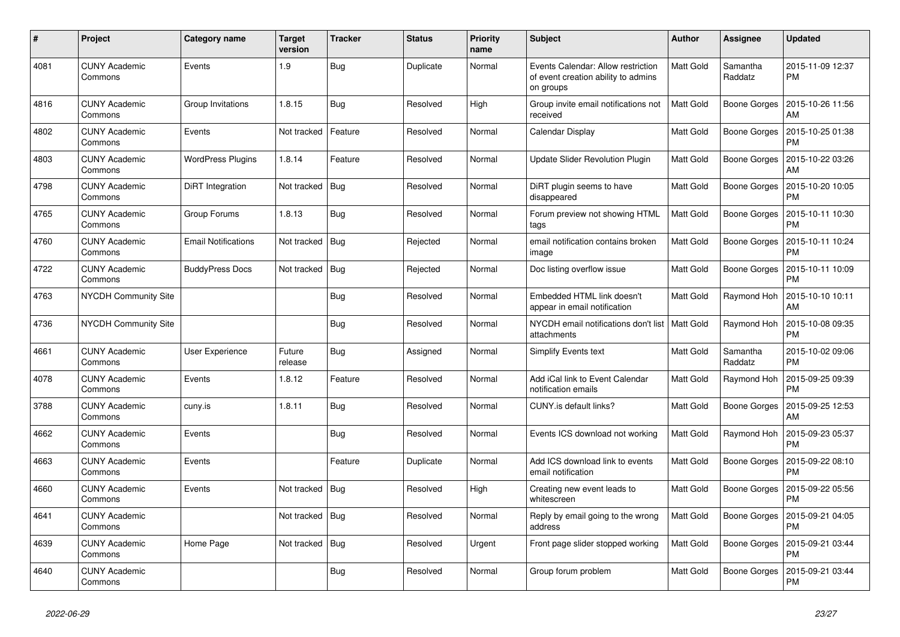| #    | Project                         | Category name              | <b>Target</b><br>version | <b>Tracker</b> | <b>Status</b> | <b>Priority</b><br>name | <b>Subject</b>                                                                         | <b>Author</b>    | Assignee            | <b>Updated</b>                |
|------|---------------------------------|----------------------------|--------------------------|----------------|---------------|-------------------------|----------------------------------------------------------------------------------------|------------------|---------------------|-------------------------------|
| 4081 | <b>CUNY Academic</b><br>Commons | Events                     | 1.9                      | <b>Bug</b>     | Duplicate     | Normal                  | Events Calendar: Allow restriction<br>of event creation ability to admins<br>on groups | Matt Gold        | Samantha<br>Raddatz | 2015-11-09 12:37<br><b>PM</b> |
| 4816 | <b>CUNY Academic</b><br>Commons | Group Invitations          | 1.8.15                   | <b>Bug</b>     | Resolved      | High                    | Group invite email notifications not<br>received                                       | <b>Matt Gold</b> | Boone Gorges        | 2015-10-26 11:56<br>AM        |
| 4802 | <b>CUNY Academic</b><br>Commons | Events                     | Not tracked              | Feature        | Resolved      | Normal                  | Calendar Display                                                                       | Matt Gold        | Boone Gorges        | 2015-10-25 01:38<br><b>PM</b> |
| 4803 | <b>CUNY Academic</b><br>Commons | <b>WordPress Plugins</b>   | 1.8.14                   | Feature        | Resolved      | Normal                  | Update Slider Revolution Plugin                                                        | Matt Gold        | Boone Gorges        | 2015-10-22 03:26<br>AM        |
| 4798 | <b>CUNY Academic</b><br>Commons | DiRT Integration           | Not tracked              | Bug            | Resolved      | Normal                  | DiRT plugin seems to have<br>disappeared                                               | Matt Gold        | Boone Gorges        | 2015-10-20 10:05<br><b>PM</b> |
| 4765 | <b>CUNY Academic</b><br>Commons | Group Forums               | 1.8.13                   | Bug            | Resolved      | Normal                  | Forum preview not showing HTML<br>tags                                                 | Matt Gold        | Boone Gorges        | 2015-10-11 10:30<br><b>PM</b> |
| 4760 | <b>CUNY Academic</b><br>Commons | <b>Email Notifications</b> | Not tracked              | Bug            | Rejected      | Normal                  | email notification contains broken<br>image                                            | Matt Gold        | Boone Gorges        | 2015-10-11 10:24<br><b>PM</b> |
| 4722 | <b>CUNY Academic</b><br>Commons | <b>BuddyPress Docs</b>     | Not tracked              | Bug            | Rejected      | Normal                  | Doc listing overflow issue                                                             | Matt Gold        | Boone Gorges        | 2015-10-11 10:09<br><b>PM</b> |
| 4763 | <b>NYCDH Community Site</b>     |                            |                          | <b>Bug</b>     | Resolved      | Normal                  | Embedded HTML link doesn't<br>appear in email notification                             | Matt Gold        | Raymond Hoh         | 2015-10-10 10:11<br>AM        |
| 4736 | <b>NYCDH Community Site</b>     |                            |                          | Bug            | Resolved      | Normal                  | NYCDH email notifications don't list<br>attachments                                    | l Matt Gold      | Raymond Hoh         | 2015-10-08 09:35<br><b>PM</b> |
| 4661 | <b>CUNY Academic</b><br>Commons | User Experience            | Future<br>release        | Bug            | Assigned      | Normal                  | <b>Simplify Events text</b>                                                            | Matt Gold        | Samantha<br>Raddatz | 2015-10-02 09:06<br><b>PM</b> |
| 4078 | <b>CUNY Academic</b><br>Commons | Events                     | 1.8.12                   | Feature        | Resolved      | Normal                  | Add iCal link to Event Calendar<br>notification emails                                 | Matt Gold        | Raymond Hoh         | 2015-09-25 09:39<br><b>PM</b> |
| 3788 | <b>CUNY Academic</b><br>Commons | cuny.is                    | 1.8.11                   | <b>Bug</b>     | Resolved      | Normal                  | CUNY.is default links?                                                                 | <b>Matt Gold</b> | Boone Gorges        | 2015-09-25 12:53<br>AM        |
| 4662 | <b>CUNY Academic</b><br>Commons | Events                     |                          | Bug            | Resolved      | Normal                  | Events ICS download not working                                                        | Matt Gold        | Raymond Hoh         | 2015-09-23 05:37<br><b>PM</b> |
| 4663 | <b>CUNY Academic</b><br>Commons | Events                     |                          | Feature        | Duplicate     | Normal                  | Add ICS download link to events<br>email notification                                  | <b>Matt Gold</b> | Boone Gorges        | 2015-09-22 08:10<br><b>PM</b> |
| 4660 | <b>CUNY Academic</b><br>Commons | Events                     | Not tracked              | <b>Bug</b>     | Resolved      | High                    | Creating new event leads to<br>whitescreen                                             | Matt Gold        | <b>Boone Gorges</b> | 2015-09-22 05:56<br><b>PM</b> |
| 4641 | <b>CUNY Academic</b><br>Commons |                            | Not tracked              | Bug            | Resolved      | Normal                  | Reply by email going to the wrong<br>address                                           | <b>Matt Gold</b> | Boone Gorges        | 2015-09-21 04:05<br><b>PM</b> |
| 4639 | <b>CUNY Academic</b><br>Commons | Home Page                  | Not tracked              | <b>Bug</b>     | Resolved      | Urgent                  | Front page slider stopped working                                                      | Matt Gold        | Boone Gorges        | 2015-09-21 03:44<br><b>PM</b> |
| 4640 | <b>CUNY Academic</b><br>Commons |                            |                          | <b>Bug</b>     | Resolved      | Normal                  | Group forum problem                                                                    | Matt Gold        | Boone Gorges        | 2015-09-21 03:44<br><b>PM</b> |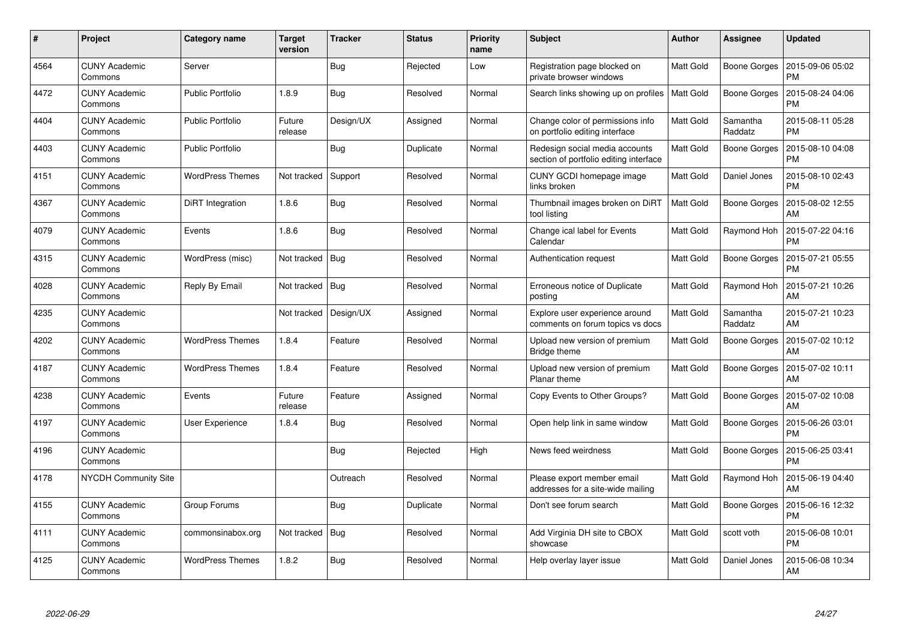| $\#$ | Project                         | Category name           | <b>Target</b><br>version | <b>Tracker</b> | <b>Status</b> | <b>Priority</b><br>name | <b>Subject</b>                                                           | <b>Author</b>    | Assignee            | <b>Updated</b>                |
|------|---------------------------------|-------------------------|--------------------------|----------------|---------------|-------------------------|--------------------------------------------------------------------------|------------------|---------------------|-------------------------------|
| 4564 | <b>CUNY Academic</b><br>Commons | Server                  |                          | <b>Bug</b>     | Rejected      | Low                     | Registration page blocked on<br>private browser windows                  | Matt Gold        | Boone Gorges        | 2015-09-06 05:02<br><b>PM</b> |
| 4472 | <b>CUNY Academic</b><br>Commons | <b>Public Portfolio</b> | 1.8.9                    | <b>Bug</b>     | Resolved      | Normal                  | Search links showing up on profiles                                      | Matt Gold        | Boone Gorges        | 2015-08-24 04:06<br>PM        |
| 4404 | <b>CUNY Academic</b><br>Commons | <b>Public Portfolio</b> | Future<br>release        | Design/UX      | Assigned      | Normal                  | Change color of permissions info<br>on portfolio editing interface       | Matt Gold        | Samantha<br>Raddatz | 2015-08-11 05:28<br><b>PM</b> |
| 4403 | <b>CUNY Academic</b><br>Commons | <b>Public Portfolio</b> |                          | <b>Bug</b>     | Duplicate     | Normal                  | Redesign social media accounts<br>section of portfolio editing interface | Matt Gold        | Boone Gorges        | 2015-08-10 04:08<br><b>PM</b> |
| 4151 | <b>CUNY Academic</b><br>Commons | <b>WordPress Themes</b> | Not tracked              | Support        | Resolved      | Normal                  | CUNY GCDI homepage image<br>links broken                                 | Matt Gold        | Daniel Jones        | 2015-08-10 02:43<br><b>PM</b> |
| 4367 | <b>CUNY Academic</b><br>Commons | DiRT Integration        | 1.8.6                    | <b>Bug</b>     | Resolved      | Normal                  | Thumbnail images broken on DiRT<br>tool listing                          | <b>Matt Gold</b> | Boone Gorges        | 2015-08-02 12:55<br>AM        |
| 4079 | <b>CUNY Academic</b><br>Commons | Events                  | 1.8.6                    | Bug            | Resolved      | Normal                  | Change ical label for Events<br>Calendar                                 | Matt Gold        | Raymond Hoh         | 2015-07-22 04:16<br><b>PM</b> |
| 4315 | <b>CUNY Academic</b><br>Commons | WordPress (misc)        | Not tracked              | Bug            | Resolved      | Normal                  | Authentication request                                                   | Matt Gold        | Boone Gorges        | 2015-07-21 05:55<br><b>PM</b> |
| 4028 | <b>CUNY Academic</b><br>Commons | Reply By Email          | Not tracked              | Bug            | Resolved      | Normal                  | Erroneous notice of Duplicate<br>posting                                 | Matt Gold        | Raymond Hoh         | 2015-07-21 10:26<br>AM        |
| 4235 | <b>CUNY Academic</b><br>Commons |                         | Not tracked              | Design/UX      | Assigned      | Normal                  | Explore user experience around<br>comments on forum topics vs docs       | Matt Gold        | Samantha<br>Raddatz | 2015-07-21 10:23<br>AM        |
| 4202 | <b>CUNY Academic</b><br>Commons | <b>WordPress Themes</b> | 1.8.4                    | Feature        | Resolved      | Normal                  | Upload new version of premium<br>Bridge theme                            | Matt Gold        | Boone Gorges        | 2015-07-02 10:12<br>AM        |
| 4187 | <b>CUNY Academic</b><br>Commons | <b>WordPress Themes</b> | 1.8.4                    | Feature        | Resolved      | Normal                  | Upload new version of premium<br>Planar theme                            | Matt Gold        | Boone Gorges        | 2015-07-02 10:11<br>AM        |
| 4238 | <b>CUNY Academic</b><br>Commons | Events                  | Future<br>release        | Feature        | Assigned      | Normal                  | Copy Events to Other Groups?                                             | Matt Gold        | Boone Gorges        | 2015-07-02 10:08<br>AM        |
| 4197 | <b>CUNY Academic</b><br>Commons | User Experience         | 1.8.4                    | <b>Bug</b>     | Resolved      | Normal                  | Open help link in same window                                            | Matt Gold        | Boone Gorges        | 2015-06-26 03:01<br><b>PM</b> |
| 4196 | <b>CUNY Academic</b><br>Commons |                         |                          | <b>Bug</b>     | Rejected      | High                    | News feed weirdness                                                      | Matt Gold        | Boone Gorges        | 2015-06-25 03:41<br><b>PM</b> |
| 4178 | <b>NYCDH Community Site</b>     |                         |                          | Outreach       | Resolved      | Normal                  | Please export member email<br>addresses for a site-wide mailing          | Matt Gold        | Raymond Hoh         | 2015-06-19 04:40<br>AM        |
| 4155 | <b>CUNY Academic</b><br>Commons | Group Forums            |                          | Bug            | Duplicate     | Normal                  | Don't see forum search                                                   | Matt Gold        | Boone Gorges        | 2015-06-16 12:32<br><b>PM</b> |
| 4111 | <b>CUNY Academic</b><br>Commons | commonsinabox.org       | Not tracked              | <b>Bug</b>     | Resolved      | Normal                  | Add Virginia DH site to CBOX<br>showcase                                 | Matt Gold        | scott voth          | 2015-06-08 10:01<br><b>PM</b> |
| 4125 | <b>CUNY Academic</b><br>Commons | <b>WordPress Themes</b> | 1.8.2                    | <b>Bug</b>     | Resolved      | Normal                  | Help overlay layer issue                                                 | Matt Gold        | Daniel Jones        | 2015-06-08 10:34<br>AM        |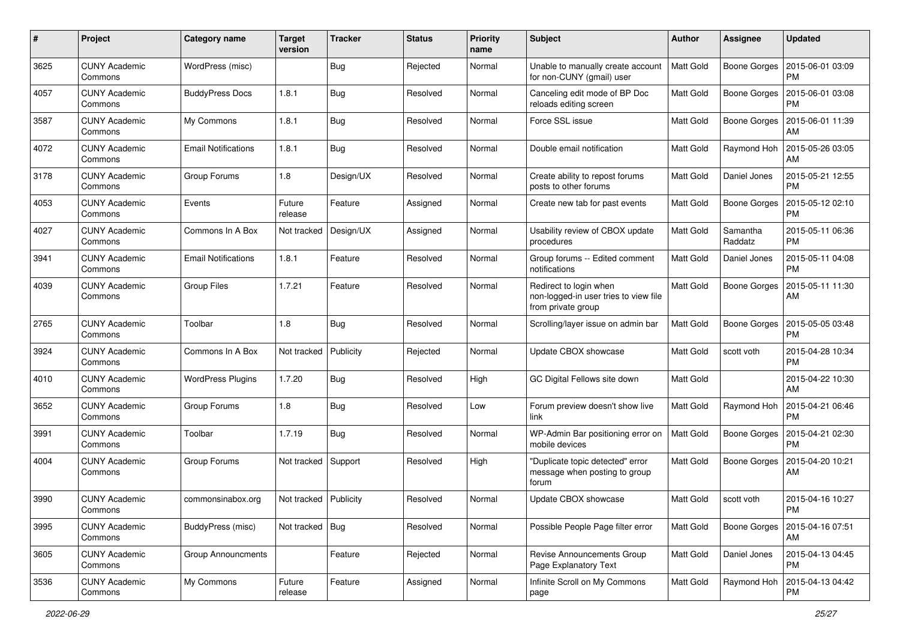| #    | Project                         | <b>Category name</b>       | <b>Target</b><br>version | <b>Tracker</b> | <b>Status</b> | <b>Priority</b><br>name | <b>Subject</b>                                                                        | Author           | <b>Assignee</b>     | <b>Updated</b>                |
|------|---------------------------------|----------------------------|--------------------------|----------------|---------------|-------------------------|---------------------------------------------------------------------------------------|------------------|---------------------|-------------------------------|
| 3625 | <b>CUNY Academic</b><br>Commons | WordPress (misc)           |                          | Bug            | Rejected      | Normal                  | Unable to manually create account<br>for non-CUNY (gmail) user                        | Matt Gold        | <b>Boone Gorges</b> | 2015-06-01 03:09<br><b>PM</b> |
| 4057 | <b>CUNY Academic</b><br>Commons | <b>BuddyPress Docs</b>     | 1.8.1                    | <b>Bug</b>     | Resolved      | Normal                  | Canceling edit mode of BP Doc<br>reloads editing screen                               | Matt Gold        | <b>Boone Gorges</b> | 2015-06-01 03:08<br><b>PM</b> |
| 3587 | CUNY Academic<br>Commons        | My Commons                 | 1.8.1                    | Bug            | Resolved      | Normal                  | Force SSL issue                                                                       | Matt Gold        | <b>Boone Gorges</b> | 2015-06-01 11:39<br>AM        |
| 4072 | <b>CUNY Academic</b><br>Commons | <b>Email Notifications</b> | 1.8.1                    | Bug            | Resolved      | Normal                  | Double email notification                                                             | <b>Matt Gold</b> | Raymond Hoh         | 2015-05-26 03:05<br>AM        |
| 3178 | <b>CUNY Academic</b><br>Commons | Group Forums               | 1.8                      | Design/UX      | Resolved      | Normal                  | Create ability to repost forums<br>posts to other forums                              | Matt Gold        | Daniel Jones        | 2015-05-21 12:55<br><b>PM</b> |
| 4053 | <b>CUNY Academic</b><br>Commons | Events                     | Future<br>release        | Feature        | Assigned      | Normal                  | Create new tab for past events                                                        | Matt Gold        | <b>Boone Gorges</b> | 2015-05-12 02:10<br><b>PM</b> |
| 4027 | <b>CUNY Academic</b><br>Commons | Commons In A Box           | Not tracked              | Design/UX      | Assigned      | Normal                  | Usability review of CBOX update<br>procedures                                         | Matt Gold        | Samantha<br>Raddatz | 2015-05-11 06:36<br><b>PM</b> |
| 3941 | <b>CUNY Academic</b><br>Commons | <b>Email Notifications</b> | 1.8.1                    | Feature        | Resolved      | Normal                  | Group forums -- Edited comment<br>notifications                                       | Matt Gold        | Daniel Jones        | 2015-05-11 04:08<br><b>PM</b> |
| 4039 | <b>CUNY Academic</b><br>Commons | <b>Group Files</b>         | 1.7.21                   | Feature        | Resolved      | Normal                  | Redirect to login when<br>non-logged-in user tries to view file<br>from private group | Matt Gold        | Boone Gorges        | 2015-05-11 11:30<br>AM        |
| 2765 | <b>CUNY Academic</b><br>Commons | Toolbar                    | 1.8                      | Bug            | Resolved      | Normal                  | Scrolling/layer issue on admin bar                                                    | <b>Matt Gold</b> | <b>Boone Gorges</b> | 2015-05-05 03:48<br><b>PM</b> |
| 3924 | <b>CUNY Academic</b><br>Commons | Commons In A Box           | Not tracked              | Publicity      | Rejected      | Normal                  | Update CBOX showcase                                                                  | Matt Gold        | scott voth          | 2015-04-28 10:34<br><b>PM</b> |
| 4010 | <b>CUNY Academic</b><br>Commons | <b>WordPress Plugins</b>   | 1.7.20                   | Bug            | Resolved      | High                    | GC Digital Fellows site down                                                          | Matt Gold        |                     | 2015-04-22 10:30<br>AM        |
| 3652 | <b>CUNY Academic</b><br>Commons | Group Forums               | 1.8                      | Bug            | Resolved      | Low                     | Forum preview doesn't show live<br>link                                               | Matt Gold        | Raymond Hoh         | 2015-04-21 06:46<br><b>PM</b> |
| 3991 | <b>CUNY Academic</b><br>Commons | Toolbar                    | 1.7.19                   | Bug            | Resolved      | Normal                  | WP-Admin Bar positioning error on<br>mobile devices                                   | Matt Gold        | Boone Gorges        | 2015-04-21 02:30<br><b>PM</b> |
| 4004 | CUNY Academic<br>Commons        | Group Forums               | Not tracked              | Support        | Resolved      | High                    | "Duplicate topic detected" error<br>message when posting to group<br>forum            | Matt Gold        | <b>Boone Gorges</b> | 2015-04-20 10:21<br>AM        |
| 3990 | <b>CUNY Academic</b><br>Commons | commonsinabox.org          | Not tracked   Publicity  |                | Resolved      | Normal                  | Update CBOX showcase                                                                  | Matt Gold        | scott voth          | 2015-04-16 10:27<br>PM        |
| 3995 | <b>CUNY Academic</b><br>Commons | BuddyPress (misc)          | Not tracked              | Bug            | Resolved      | Normal                  | Possible People Page filter error                                                     | Matt Gold        | Boone Gorges        | 2015-04-16 07:51<br>AM        |
| 3605 | <b>CUNY Academic</b><br>Commons | <b>Group Announcments</b>  |                          | Feature        | Rejected      | Normal                  | Revise Announcements Group<br>Page Explanatory Text                                   | Matt Gold        | Daniel Jones        | 2015-04-13 04:45<br><b>PM</b> |
| 3536 | <b>CUNY Academic</b><br>Commons | My Commons                 | Future<br>release        | Feature        | Assigned      | Normal                  | Infinite Scroll on My Commons<br>page                                                 | Matt Gold        | Raymond Hoh         | 2015-04-13 04:42<br><b>PM</b> |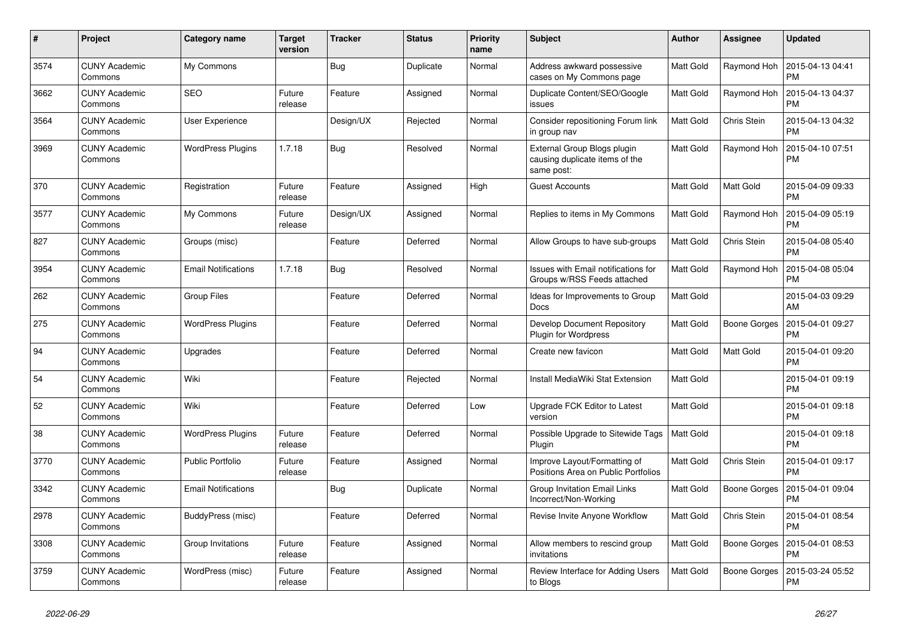| $\#$ | Project                         | Category name              | <b>Target</b><br>version | <b>Tracker</b> | <b>Status</b> | <b>Priority</b><br>name | <b>Subject</b>                                                              | Author           | <b>Assignee</b>     | <b>Updated</b>                |
|------|---------------------------------|----------------------------|--------------------------|----------------|---------------|-------------------------|-----------------------------------------------------------------------------|------------------|---------------------|-------------------------------|
| 3574 | <b>CUNY Academic</b><br>Commons | My Commons                 |                          | Bug            | Duplicate     | Normal                  | Address awkward possessive<br>cases on My Commons page                      | Matt Gold        | Raymond Hoh         | 2015-04-13 04:41<br><b>PM</b> |
| 3662 | <b>CUNY Academic</b><br>Commons | <b>SEO</b>                 | Future<br>release        | Feature        | Assigned      | Normal                  | Duplicate Content/SEO/Google<br>issues                                      | Matt Gold        | Raymond Hoh         | 2015-04-13 04:37<br><b>PM</b> |
| 3564 | <b>CUNY Academic</b><br>Commons | User Experience            |                          | Design/UX      | Rejected      | Normal                  | Consider repositioning Forum link<br>in group nav                           | Matt Gold        | Chris Stein         | 2015-04-13 04:32<br><b>PM</b> |
| 3969 | <b>CUNY Academic</b><br>Commons | <b>WordPress Plugins</b>   | 1.7.18                   | Bug            | Resolved      | Normal                  | External Group Blogs plugin<br>causing duplicate items of the<br>same post: | Matt Gold        | Raymond Hoh         | 2015-04-10 07:51<br><b>PM</b> |
| 370  | CUNY Academic<br>Commons        | Registration               | Future<br>release        | Feature        | Assigned      | High                    | <b>Guest Accounts</b>                                                       | Matt Gold        | Matt Gold           | 2015-04-09 09:33<br><b>PM</b> |
| 3577 | <b>CUNY Academic</b><br>Commons | My Commons                 | Future<br>release        | Design/UX      | Assigned      | Normal                  | Replies to items in My Commons                                              | Matt Gold        | Raymond Hoh         | 2015-04-09 05:19<br><b>PM</b> |
| 827  | <b>CUNY Academic</b><br>Commons | Groups (misc)              |                          | Feature        | Deferred      | Normal                  | Allow Groups to have sub-groups                                             | Matt Gold        | Chris Stein         | 2015-04-08 05:40<br><b>PM</b> |
| 3954 | <b>CUNY Academic</b><br>Commons | <b>Email Notifications</b> | 1.7.18                   | <b>Bug</b>     | Resolved      | Normal                  | Issues with Email notifications for<br>Groups w/RSS Feeds attached          | Matt Gold        | Raymond Hoh         | 2015-04-08 05:04<br><b>PM</b> |
| 262  | CUNY Academic<br>Commons        | Group Files                |                          | Feature        | Deferred      | Normal                  | Ideas for Improvements to Group<br>Docs                                     | Matt Gold        |                     | 2015-04-03 09:29<br>AM        |
| 275  | <b>CUNY Academic</b><br>Commons | <b>WordPress Plugins</b>   |                          | Feature        | Deferred      | Normal                  | Develop Document Repository<br>Plugin for Wordpress                         | Matt Gold        | <b>Boone Gorges</b> | 2015-04-01 09:27<br><b>PM</b> |
| 94   | <b>CUNY Academic</b><br>Commons | Upgrades                   |                          | Feature        | Deferred      | Normal                  | Create new favicon                                                          | Matt Gold        | Matt Gold           | 2015-04-01 09:20<br><b>PM</b> |
| 54   | <b>CUNY Academic</b><br>Commons | Wiki                       |                          | Feature        | Rejected      | Normal                  | Install MediaWiki Stat Extension                                            | Matt Gold        |                     | 2015-04-01 09:19<br><b>PM</b> |
| 52   | <b>CUNY Academic</b><br>Commons | Wiki                       |                          | Feature        | Deferred      | Low                     | Upgrade FCK Editor to Latest<br>version                                     | Matt Gold        |                     | 2015-04-01 09:18<br><b>PM</b> |
| 38   | <b>CUNY Academic</b><br>Commons | <b>WordPress Plugins</b>   | Future<br>release        | Feature        | Deferred      | Normal                  | Possible Upgrade to Sitewide Tags<br>Plugin                                 | Matt Gold        |                     | 2015-04-01 09:18<br><b>PM</b> |
| 3770 | <b>CUNY Academic</b><br>Commons | <b>Public Portfolio</b>    | Future<br>release        | Feature        | Assigned      | Normal                  | Improve Layout/Formatting of<br>Positions Area on Public Portfolios         | Matt Gold        | Chris Stein         | 2015-04-01 09:17<br><b>PM</b> |
| 3342 | <b>CUNY Academic</b><br>Commons | <b>Email Notifications</b> |                          | Bug            | Duplicate     | Normal                  | <b>Group Invitation Email Links</b><br>Incorrect/Non-Working                | Matt Gold        | <b>Boone Gorges</b> | 2015-04-01 09:04<br><b>PM</b> |
| 2978 | <b>CUNY Academic</b><br>Commons | BuddyPress (misc)          |                          | Feature        | Deferred      | Normal                  | Revise Invite Anyone Workflow                                               | Matt Gold        | Chris Stein         | 2015-04-01 08:54<br><b>PM</b> |
| 3308 | <b>CUNY Academic</b><br>Commons | Group Invitations          | Future<br>release        | Feature        | Assigned      | Normal                  | Allow members to rescind group<br>invitations                               | Matt Gold        | Boone Gorges        | 2015-04-01 08:53<br><b>PM</b> |
| 3759 | <b>CUNY Academic</b><br>Commons | WordPress (misc)           | Future<br>release        | Feature        | Assigned      | Normal                  | Review Interface for Adding Users<br>to Blogs                               | <b>Matt Gold</b> | <b>Boone Gorges</b> | 2015-03-24 05:52<br><b>PM</b> |